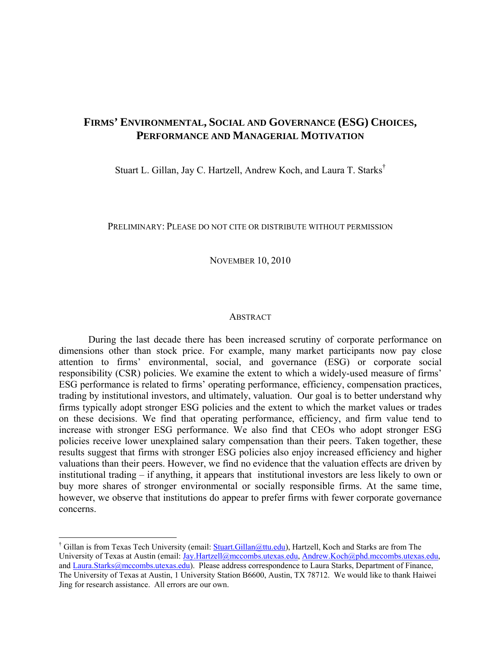# **FIRMS' ENVIRONMENTAL, SOCIAL AND GOVERNANCE (ESG) CHOICES, PERFORMANCE AND MANAGERIAL MOTIVATION**

Stuart L. Gillan, Jay C. Hartzell, Andrew Koch, and Laura T. Starks†

#### PRELIMINARY: PLEASE DO NOT CITE OR DISTRIBUTE WITHOUT PERMISSION

NOVEMBER 10, 2010

#### **ABSTRACT**

During the last decade there has been increased scrutiny of corporate performance on dimensions other than stock price. For example, many market participants now pay close attention to firms' environmental, social, and governance (ESG) or corporate social responsibility (CSR) policies. We examine the extent to which a widely-used measure of firms' ESG performance is related to firms' operating performance, efficiency, compensation practices, trading by institutional investors, and ultimately, valuation. Our goal is to better understand why firms typically adopt stronger ESG policies and the extent to which the market values or trades on these decisions. We find that operating performance, efficiency, and firm value tend to increase with stronger ESG performance. We also find that CEOs who adopt stronger ESG policies receive lower unexplained salary compensation than their peers. Taken together, these results suggest that firms with stronger ESG policies also enjoy increased efficiency and higher valuations than their peers. However, we find no evidence that the valuation effects are driven by institutional trading – if anything, it appears that institutional investors are less likely to own or buy more shares of stronger environmental or socially responsible firms. At the same time, however, we observe that institutions do appear to prefer firms with fewer corporate governance concerns.

<sup>&</sup>lt;sup>†</sup> Gillan is from Texas Tech University (email: **Stuart.Gillan@ttu.edu**), Hartzell, Koch and Starks are from The University of Texas at Austin (email: Jay.Hartzell@mccombs.utexas.edu, Andrew.Koch@phd.mccombs.utexas.edu, and Laura.Starks@mccombs.utexas.edu). Please address correspondence to Laura Starks, Department of Finance, The University of Texas at Austin, 1 University Station B6600, Austin, TX 78712. We would like to thank Haiwei Jing for research assistance. All errors are our own.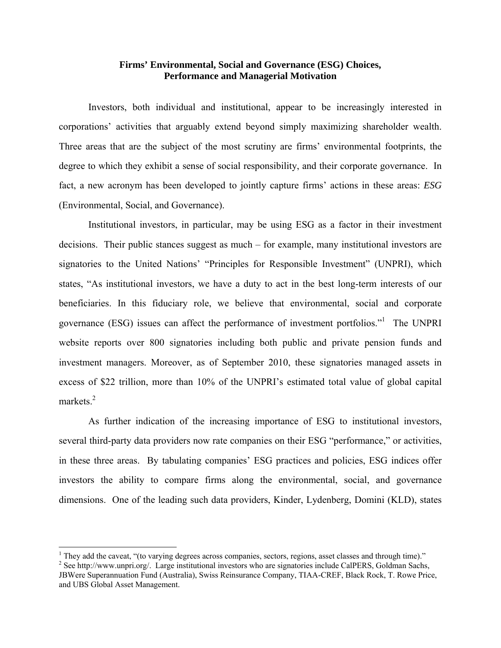#### **Firms' Environmental, Social and Governance (ESG) Choices, Performance and Managerial Motivation**

Investors, both individual and institutional, appear to be increasingly interested in corporations' activities that arguably extend beyond simply maximizing shareholder wealth. Three areas that are the subject of the most scrutiny are firms' environmental footprints, the degree to which they exhibit a sense of social responsibility, and their corporate governance. In fact, a new acronym has been developed to jointly capture firms' actions in these areas: *ESG* (Environmental, Social, and Governance).

Institutional investors, in particular, may be using ESG as a factor in their investment decisions. Their public stances suggest as much – for example, many institutional investors are signatories to the United Nations' "Principles for Responsible Investment" (UNPRI), which states, "As institutional investors, we have a duty to act in the best long-term interests of our beneficiaries. In this fiduciary role, we believe that environmental, social and corporate governance (ESG) issues can affect the performance of investment portfolios."<sup>1</sup> The UNPRI website reports over 800 signatories including both public and private pension funds and investment managers. Moreover, as of September 2010, these signatories managed assets in excess of \$22 trillion, more than 10% of the UNPRI's estimated total value of global capital markets.<sup>2</sup>

As further indication of the increasing importance of ESG to institutional investors, several third-party data providers now rate companies on their ESG "performance," or activities, in these three areas. By tabulating companies' ESG practices and policies, ESG indices offer investors the ability to compare firms along the environmental, social, and governance dimensions. One of the leading such data providers, Kinder, Lydenberg, Domini (KLD), states

<sup>&</sup>lt;sup>1</sup> They add the caveat, "(to varying degrees across companies, sectors, regions, asset classes and through time)."<br><sup>2</sup> See http://www.uppri.org/ J erge institutional investors who are signatories include CelBEBS. Goldman

<sup>&</sup>lt;sup>2</sup> See http://www.unpri.org/. Large institutional investors who are signatories include CalPERS, Goldman Sachs, JBWere Superannuation Fund (Australia), Swiss Reinsurance Company, TIAA-CREF, Black Rock, T. Rowe Price, and UBS Global Asset Management.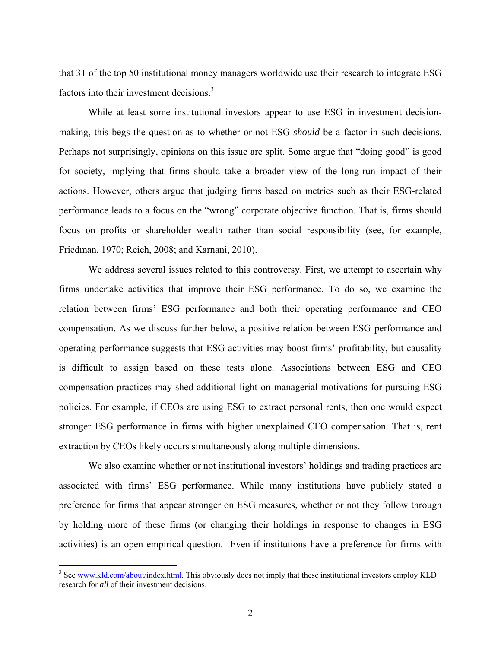that 31 of the top 50 institutional money managers worldwide use their research to integrate ESG factors into their investment decisions.<sup>3</sup>

While at least some institutional investors appear to use ESG in investment decisionmaking, this begs the question as to whether or not ESG *should* be a factor in such decisions. Perhaps not surprisingly, opinions on this issue are split. Some argue that "doing good" is good for society, implying that firms should take a broader view of the long-run impact of their actions. However, others argue that judging firms based on metrics such as their ESG-related performance leads to a focus on the "wrong" corporate objective function. That is, firms should focus on profits or shareholder wealth rather than social responsibility (see, for example, Friedman, 1970; Reich, 2008; and Karnani, 2010).

We address several issues related to this controversy. First, we attempt to ascertain why firms undertake activities that improve their ESG performance. To do so, we examine the relation between firms' ESG performance and both their operating performance and CEO compensation. As we discuss further below, a positive relation between ESG performance and operating performance suggests that ESG activities may boost firms' profitability, but causality is difficult to assign based on these tests alone. Associations between ESG and CEO compensation practices may shed additional light on managerial motivations for pursuing ESG policies. For example, if CEOs are using ESG to extract personal rents, then one would expect stronger ESG performance in firms with higher unexplained CEO compensation. That is, rent extraction by CEOs likely occurs simultaneously along multiple dimensions.

We also examine whether or not institutional investors' holdings and trading practices are associated with firms' ESG performance. While many institutions have publicly stated a preference for firms that appear stronger on ESG measures, whether or not they follow through by holding more of these firms (or changing their holdings in response to changes in ESG activities) is an open empirical question. Even if institutions have a preference for firms with

<sup>&</sup>lt;sup>3</sup> See www.kld.com/about/index.html. This obviously does not imply that these institutional investors employ KLD research for *all* of their investment decisions.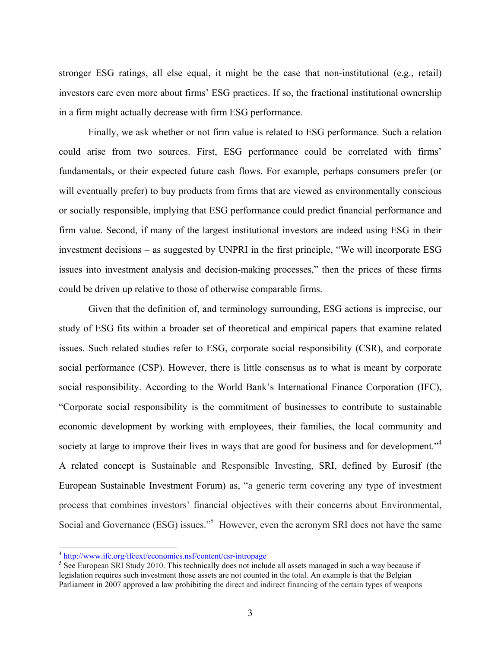stronger ESG ratings, all else equal, it might be the case that non-institutional (e.g., retail) investors care even more about firms' ESG practices. If so, the fractional institutional ownership in a firm might actually decrease with firm ESG performance.

Finally, we ask whether or not firm value is related to ESG performance. Such a relation could arise from two sources. First, ESG performance could be correlated with firms' fundamentals, or their expected future cash flows. For example, perhaps consumers prefer (or will eventually prefer) to buy products from firms that are viewed as environmentally conscious or socially responsible, implying that ESG performance could predict financial performance and firm value. Second, if many of the largest institutional investors are indeed using ESG in their investment decisions – as suggested by UNPRI in the first principle, "We will incorporate ESG issues into investment analysis and decision-making processes," then the prices of these firms could be driven up relative to those of otherwise comparable firms.

Given that the definition of, and terminology surrounding, ESG actions is imprecise, our study of ESG fits within a broader set of theoretical and empirical papers that examine related issues. Such related studies refer to ESG, corporate social responsibility (CSR), and corporate social performance (CSP). However, there is little consensus as to what is meant by corporate social responsibility. According to the World Bank's International Finance Corporation (IFC), "Corporate social responsibility is the commitment of businesses to contribute to sustainable economic development by working with employees, their families, the local community and society at large to improve their lives in ways that are good for business and for development."<sup>4</sup> A related concept is Sustainable and Responsible Investing, SRI, defined by Eurosif (the European Sustainable Investment Forum) as, "a generic term covering any type of investment process that combines investors' financial objectives with their concerns about Environmental, Social and Governance (ESG) issues."<sup>5</sup> However, even the acronym SRI does not have the same

 $\frac{4 \text{ http://www.ifc.org/ifcext/economics.nsf/content/csr-intropage}}{5 \text{ Soe European SPI Study } 2010}$ . This technically does not include

<sup>&</sup>lt;sup>5</sup> See European SRI Study 2010. This technically does not include all assets managed in such a way because if legislation requires such investment those assets are not counted in the total. An example is that the Belgian Parliament in 2007 approved a law prohibiting the direct and indirect financing of the certain types of weapons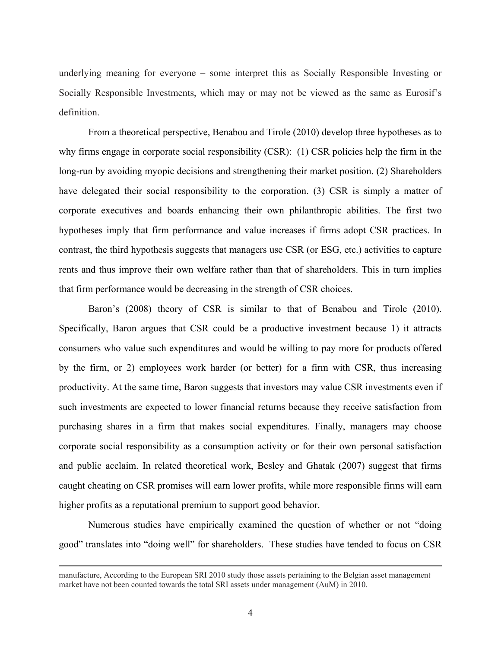underlying meaning for everyone – some interpret this as Socially Responsible Investing or Socially Responsible Investments, which may or may not be viewed as the same as Eurosif's definition.

From a theoretical perspective, Benabou and Tirole (2010) develop three hypotheses as to why firms engage in corporate social responsibility (CSR): (1) CSR policies help the firm in the long-run by avoiding myopic decisions and strengthening their market position. (2) Shareholders have delegated their social responsibility to the corporation. (3) CSR is simply a matter of corporate executives and boards enhancing their own philanthropic abilities. The first two hypotheses imply that firm performance and value increases if firms adopt CSR practices. In contrast, the third hypothesis suggests that managers use CSR (or ESG, etc.) activities to capture rents and thus improve their own welfare rather than that of shareholders. This in turn implies that firm performance would be decreasing in the strength of CSR choices.

Baron's (2008) theory of CSR is similar to that of Benabou and Tirole (2010). Specifically, Baron argues that CSR could be a productive investment because 1) it attracts consumers who value such expenditures and would be willing to pay more for products offered by the firm, or 2) employees work harder (or better) for a firm with CSR, thus increasing productivity. At the same time, Baron suggests that investors may value CSR investments even if such investments are expected to lower financial returns because they receive satisfaction from purchasing shares in a firm that makes social expenditures. Finally, managers may choose corporate social responsibility as a consumption activity or for their own personal satisfaction and public acclaim. In related theoretical work, Besley and Ghatak (2007) suggest that firms caught cheating on CSR promises will earn lower profits, while more responsible firms will earn higher profits as a reputational premium to support good behavior.

Numerous studies have empirically examined the question of whether or not "doing good" translates into "doing well" for shareholders. These studies have tended to focus on CSR

<u> 1989 - Johann Stoff, amerikansk politiker (d. 1989)</u>

manufacture, According to the European SRI 2010 study those assets pertaining to the Belgian asset management market have not been counted towards the total SRI assets under management (AuM) in 2010.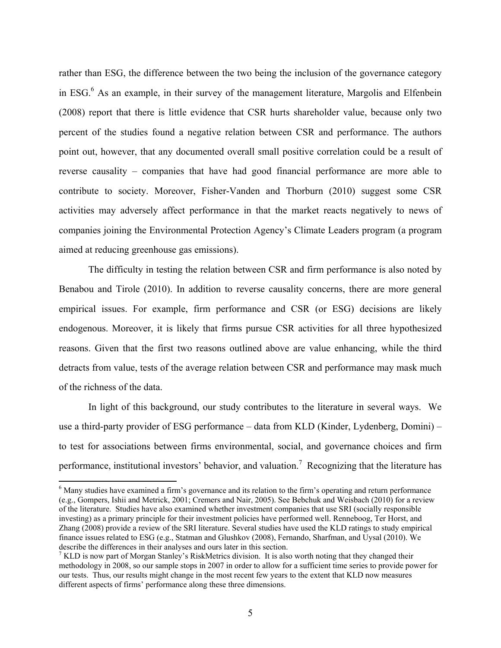rather than ESG, the difference between the two being the inclusion of the governance category in ESG.<sup>6</sup> As an example, in their survey of the management literature, Margolis and Elfenbein (2008) report that there is little evidence that CSR hurts shareholder value, because only two percent of the studies found a negative relation between CSR and performance. The authors point out, however, that any documented overall small positive correlation could be a result of reverse causality – companies that have had good financial performance are more able to contribute to society. Moreover, Fisher-Vanden and Thorburn (2010) suggest some CSR activities may adversely affect performance in that the market reacts negatively to news of companies joining the Environmental Protection Agency's Climate Leaders program (a program aimed at reducing greenhouse gas emissions).

The difficulty in testing the relation between CSR and firm performance is also noted by Benabou and Tirole (2010). In addition to reverse causality concerns, there are more general empirical issues. For example, firm performance and CSR (or ESG) decisions are likely endogenous. Moreover, it is likely that firms pursue CSR activities for all three hypothesized reasons. Given that the first two reasons outlined above are value enhancing, while the third detracts from value, tests of the average relation between CSR and performance may mask much of the richness of the data.

In light of this background, our study contributes to the literature in several ways. We use a third-party provider of ESG performance – data from KLD (Kinder, Lydenberg, Domini) – to test for associations between firms environmental, social, and governance choices and firm performance, institutional investors' behavior, and valuation.<sup>7</sup> Recognizing that the literature has

<sup>&</sup>lt;sup>6</sup> Many studies have examined a firm's governance and its relation to the firm's operating and return performance (e.g., Gompers, Ishii and Metrick, 2001; Cremers and Nair, 2005). See Bebchuk and Weisbach (2010) for a review of the literature. Studies have also examined whether investment companies that use SRI (socially responsible investing) as a primary principle for their investment policies have performed well. Renneboog, Ter Horst, and Zhang (2008) provide a review of the SRI literature. Several studies have used the KLD ratings to study empirical finance issues related to ESG (e.g., Statman and Glushkov (2008), Fernando, Sharfman, and Uysal (2010). We describe the differences in their analyses and ours later in this section.

<sup>&</sup>lt;sup>7</sup> KLD is now part of Morgan Stanley's RiskMetrics division. It is also worth noting that they changed their methodology in 2008, so our sample stops in 2007 in order to allow for a sufficient time series to provide power for our tests. Thus, our results might change in the most recent few years to the extent that KLD now measures different aspects of firms' performance along these three dimensions.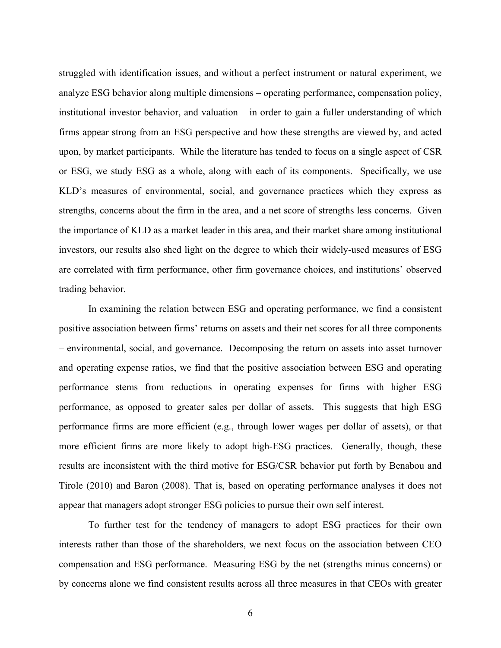struggled with identification issues, and without a perfect instrument or natural experiment, we analyze ESG behavior along multiple dimensions – operating performance, compensation policy, institutional investor behavior, and valuation – in order to gain a fuller understanding of which firms appear strong from an ESG perspective and how these strengths are viewed by, and acted upon, by market participants. While the literature has tended to focus on a single aspect of CSR or ESG, we study ESG as a whole, along with each of its components. Specifically, we use KLD's measures of environmental, social, and governance practices which they express as strengths, concerns about the firm in the area, and a net score of strengths less concerns. Given the importance of KLD as a market leader in this area, and their market share among institutional investors, our results also shed light on the degree to which their widely-used measures of ESG are correlated with firm performance, other firm governance choices, and institutions' observed trading behavior.

In examining the relation between ESG and operating performance, we find a consistent positive association between firms' returns on assets and their net scores for all three components – environmental, social, and governance. Decomposing the return on assets into asset turnover and operating expense ratios, we find that the positive association between ESG and operating performance stems from reductions in operating expenses for firms with higher ESG performance, as opposed to greater sales per dollar of assets. This suggests that high ESG performance firms are more efficient (e.g., through lower wages per dollar of assets), or that more efficient firms are more likely to adopt high-ESG practices. Generally, though, these results are inconsistent with the third motive for ESG/CSR behavior put forth by Benabou and Tirole (2010) and Baron (2008). That is, based on operating performance analyses it does not appear that managers adopt stronger ESG policies to pursue their own self interest.

To further test for the tendency of managers to adopt ESG practices for their own interests rather than those of the shareholders, we next focus on the association between CEO compensation and ESG performance. Measuring ESG by the net (strengths minus concerns) or by concerns alone we find consistent results across all three measures in that CEOs with greater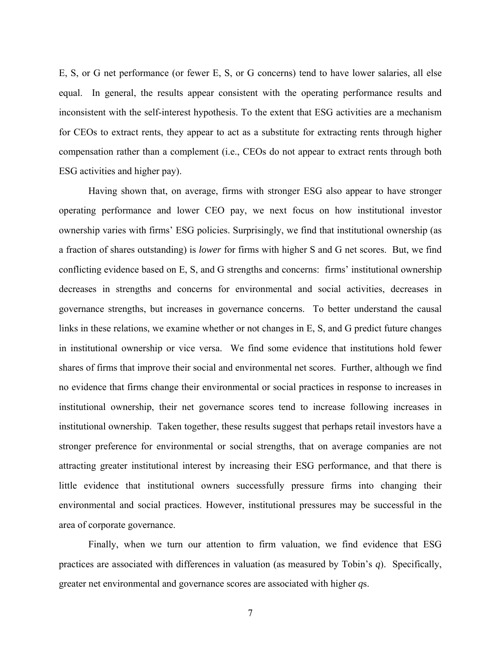E, S, or G net performance (or fewer E, S, or G concerns) tend to have lower salaries, all else equal. In general, the results appear consistent with the operating performance results and inconsistent with the self-interest hypothesis. To the extent that ESG activities are a mechanism for CEOs to extract rents, they appear to act as a substitute for extracting rents through higher compensation rather than a complement (i.e., CEOs do not appear to extract rents through both ESG activities and higher pay).

Having shown that, on average, firms with stronger ESG also appear to have stronger operating performance and lower CEO pay, we next focus on how institutional investor ownership varies with firms' ESG policies. Surprisingly, we find that institutional ownership (as a fraction of shares outstanding) is *lower* for firms with higher S and G net scores. But, we find conflicting evidence based on E, S, and G strengths and concerns: firms' institutional ownership decreases in strengths and concerns for environmental and social activities, decreases in governance strengths, but increases in governance concerns. To better understand the causal links in these relations, we examine whether or not changes in E, S, and G predict future changes in institutional ownership or vice versa. We find some evidence that institutions hold fewer shares of firms that improve their social and environmental net scores. Further, although we find no evidence that firms change their environmental or social practices in response to increases in institutional ownership, their net governance scores tend to increase following increases in institutional ownership. Taken together, these results suggest that perhaps retail investors have a stronger preference for environmental or social strengths, that on average companies are not attracting greater institutional interest by increasing their ESG performance, and that there is little evidence that institutional owners successfully pressure firms into changing their environmental and social practices. However, institutional pressures may be successful in the area of corporate governance.

Finally, when we turn our attention to firm valuation, we find evidence that ESG practices are associated with differences in valuation (as measured by Tobin's *q*). Specifically, greater net environmental and governance scores are associated with higher *q*s.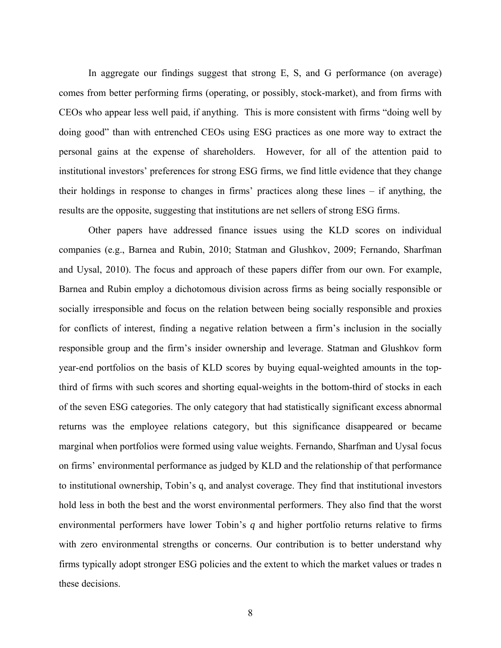In aggregate our findings suggest that strong E, S, and G performance (on average) comes from better performing firms (operating, or possibly, stock-market), and from firms with CEOs who appear less well paid, if anything. This is more consistent with firms "doing well by doing good" than with entrenched CEOs using ESG practices as one more way to extract the personal gains at the expense of shareholders. However, for all of the attention paid to institutional investors' preferences for strong ESG firms, we find little evidence that they change their holdings in response to changes in firms' practices along these lines – if anything, the results are the opposite, suggesting that institutions are net sellers of strong ESG firms.

Other papers have addressed finance issues using the KLD scores on individual companies (e.g., Barnea and Rubin, 2010; Statman and Glushkov, 2009; Fernando, Sharfman and Uysal, 2010). The focus and approach of these papers differ from our own. For example, Barnea and Rubin employ a dichotomous division across firms as being socially responsible or socially irresponsible and focus on the relation between being socially responsible and proxies for conflicts of interest, finding a negative relation between a firm's inclusion in the socially responsible group and the firm's insider ownership and leverage. Statman and Glushkov form year-end portfolios on the basis of KLD scores by buying equal-weighted amounts in the topthird of firms with such scores and shorting equal-weights in the bottom-third of stocks in each of the seven ESG categories. The only category that had statistically significant excess abnormal returns was the employee relations category, but this significance disappeared or became marginal when portfolios were formed using value weights. Fernando, Sharfman and Uysal focus on firms' environmental performance as judged by KLD and the relationship of that performance to institutional ownership, Tobin's q, and analyst coverage. They find that institutional investors hold less in both the best and the worst environmental performers. They also find that the worst environmental performers have lower Tobin's *q* and higher portfolio returns relative to firms with zero environmental strengths or concerns. Our contribution is to better understand why firms typically adopt stronger ESG policies and the extent to which the market values or trades n these decisions.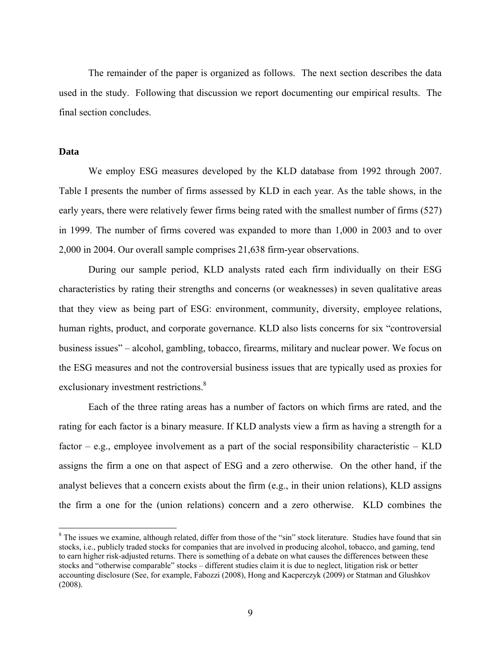The remainder of the paper is organized as follows. The next section describes the data used in the study. Following that discussion we report documenting our empirical results. The final section concludes.

#### **Data**

We employ ESG measures developed by the KLD database from 1992 through 2007. Table I presents the number of firms assessed by KLD in each year. As the table shows, in the early years, there were relatively fewer firms being rated with the smallest number of firms (527) in 1999. The number of firms covered was expanded to more than 1,000 in 2003 and to over 2,000 in 2004. Our overall sample comprises 21,638 firm-year observations.

During our sample period, KLD analysts rated each firm individually on their ESG characteristics by rating their strengths and concerns (or weaknesses) in seven qualitative areas that they view as being part of ESG: environment, community, diversity, employee relations, human rights, product, and corporate governance. KLD also lists concerns for six "controversial business issues" – alcohol, gambling, tobacco, firearms, military and nuclear power. We focus on the ESG measures and not the controversial business issues that are typically used as proxies for exclusionary investment restrictions.<sup>8</sup>

Each of the three rating areas has a number of factors on which firms are rated, and the rating for each factor is a binary measure. If KLD analysts view a firm as having a strength for a factor – e.g., employee involvement as a part of the social responsibility characteristic – KLD assigns the firm a one on that aspect of ESG and a zero otherwise. On the other hand, if the analyst believes that a concern exists about the firm (e.g., in their union relations), KLD assigns the firm a one for the (union relations) concern and a zero otherwise. KLD combines the

 $8$  The issues we examine, although related, differ from those of the "sin" stock literature. Studies have found that sin stocks, i.e., publicly traded stocks for companies that are involved in producing alcohol, tobacco, and gaming, tend to earn higher risk-adjusted returns. There is something of a debate on what causes the differences between these stocks and "otherwise comparable" stocks – different studies claim it is due to neglect, litigation risk or better accounting disclosure (See, for example, Fabozzi (2008), Hong and Kacperczyk (2009) or Statman and Glushkov (2008).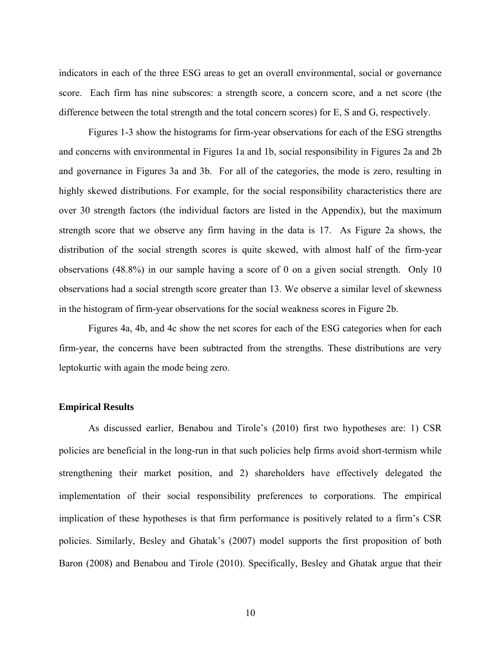indicators in each of the three ESG areas to get an overall environmental, social or governance score. Each firm has nine subscores: a strength score, a concern score, and a net score (the difference between the total strength and the total concern scores) for E, S and G, respectively.

Figures 1-3 show the histograms for firm-year observations for each of the ESG strengths and concerns with environmental in Figures 1a and 1b, social responsibility in Figures 2a and 2b and governance in Figures 3a and 3b. For all of the categories, the mode is zero, resulting in highly skewed distributions. For example, for the social responsibility characteristics there are over 30 strength factors (the individual factors are listed in the Appendix), but the maximum strength score that we observe any firm having in the data is 17. As Figure 2a shows, the distribution of the social strength scores is quite skewed, with almost half of the firm-year observations (48.8%) in our sample having a score of 0 on a given social strength. Only 10 observations had a social strength score greater than 13. We observe a similar level of skewness in the histogram of firm-year observations for the social weakness scores in Figure 2b.

Figures 4a, 4b, and 4c show the net scores for each of the ESG categories when for each firm-year, the concerns have been subtracted from the strengths. These distributions are very leptokurtic with again the mode being zero.

#### **Empirical Results**

As discussed earlier, Benabou and Tirole's (2010) first two hypotheses are: 1) CSR policies are beneficial in the long-run in that such policies help firms avoid short-termism while strengthening their market position, and 2) shareholders have effectively delegated the implementation of their social responsibility preferences to corporations. The empirical implication of these hypotheses is that firm performance is positively related to a firm's CSR policies. Similarly, Besley and Ghatak's (2007) model supports the first proposition of both Baron (2008) and Benabou and Tirole (2010). Specifically, Besley and Ghatak argue that their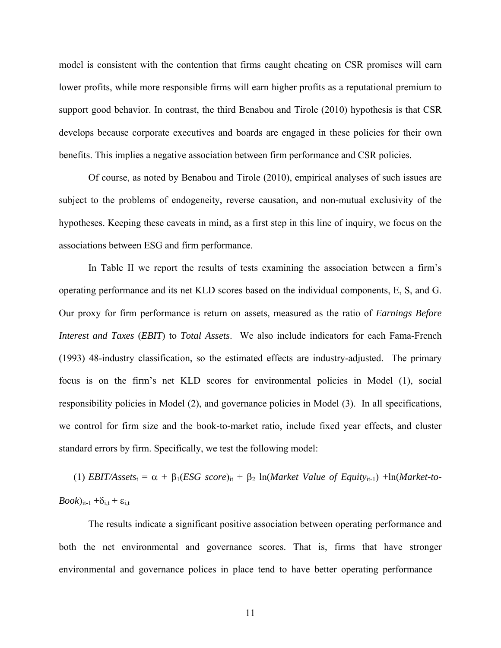model is consistent with the contention that firms caught cheating on CSR promises will earn lower profits, while more responsible firms will earn higher profits as a reputational premium to support good behavior. In contrast, the third Benabou and Tirole (2010) hypothesis is that CSR develops because corporate executives and boards are engaged in these policies for their own benefits. This implies a negative association between firm performance and CSR policies.

Of course, as noted by Benabou and Tirole (2010), empirical analyses of such issues are subject to the problems of endogeneity, reverse causation, and non-mutual exclusivity of the hypotheses. Keeping these caveats in mind, as a first step in this line of inquiry, we focus on the associations between ESG and firm performance.

In Table II we report the results of tests examining the association between a firm's operating performance and its net KLD scores based on the individual components, E, S, and G. Our proxy for firm performance is return on assets, measured as the ratio of *Earnings Before Interest and Taxes* (*EBIT*) to *Total Assets*. We also include indicators for each Fama-French (1993) 48-industry classification, so the estimated effects are industry-adjusted. The primary focus is on the firm's net KLD scores for environmental policies in Model (1), social responsibility policies in Model (2), and governance policies in Model (3). In all specifications, we control for firm size and the book-to-market ratio, include fixed year effects, and cluster standard errors by firm. Specifically, we test the following model:

(1) *EBIT/Assets*<sub>t</sub> =  $\alpha$  +  $\beta_1$ (*ESG score*)<sub>it</sub> +  $\beta_2$  ln(*Market Value of Equity*<sub>it-1</sub>) +ln(*Market-to-* $\textit{Book}$ )<sub>it-1</sub> + $\delta_{i,t}$  +  $\epsilon_{i,t}$ 

The results indicate a significant positive association between operating performance and both the net environmental and governance scores. That is, firms that have stronger environmental and governance polices in place tend to have better operating performance –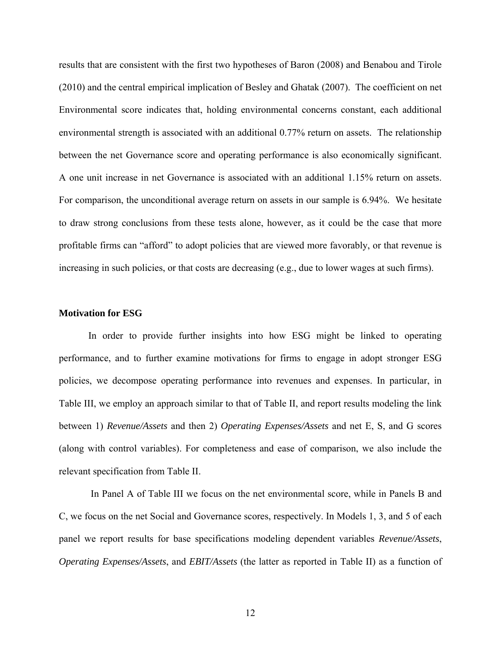results that are consistent with the first two hypotheses of Baron (2008) and Benabou and Tirole (2010) and the central empirical implication of Besley and Ghatak (2007). The coefficient on net Environmental score indicates that, holding environmental concerns constant, each additional environmental strength is associated with an additional 0.77% return on assets. The relationship between the net Governance score and operating performance is also economically significant. A one unit increase in net Governance is associated with an additional 1.15% return on assets. For comparison, the unconditional average return on assets in our sample is 6.94%. We hesitate to draw strong conclusions from these tests alone, however, as it could be the case that more profitable firms can "afford" to adopt policies that are viewed more favorably, or that revenue is increasing in such policies, or that costs are decreasing (e.g., due to lower wages at such firms).

#### **Motivation for ESG**

In order to provide further insights into how ESG might be linked to operating performance, and to further examine motivations for firms to engage in adopt stronger ESG policies, we decompose operating performance into revenues and expenses. In particular, in Table III, we employ an approach similar to that of Table II, and report results modeling the link between 1) *Revenue/Assets* and then 2) *Operating Expenses/Assets* and net E, S, and G scores (along with control variables). For completeness and ease of comparison, we also include the relevant specification from Table II.

 In Panel A of Table III we focus on the net environmental score, while in Panels B and C, we focus on the net Social and Governance scores, respectively. In Models 1, 3, and 5 of each panel we report results for base specifications modeling dependent variables *Revenue/Assets*, *Operating Expenses/Assets*, and *EBIT/Assets* (the latter as reported in Table II) as a function of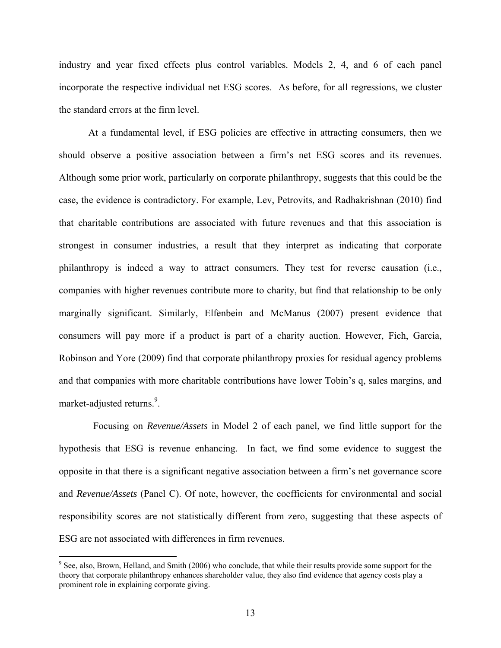industry and year fixed effects plus control variables. Models 2, 4, and 6 of each panel incorporate the respective individual net ESG scores. As before, for all regressions, we cluster the standard errors at the firm level.

At a fundamental level, if ESG policies are effective in attracting consumers, then we should observe a positive association between a firm's net ESG scores and its revenues. Although some prior work, particularly on corporate philanthropy, suggests that this could be the case, the evidence is contradictory. For example, Lev, Petrovits, and Radhakrishnan (2010) find that charitable contributions are associated with future revenues and that this association is strongest in consumer industries, a result that they interpret as indicating that corporate philanthropy is indeed a way to attract consumers. They test for reverse causation (i.e., companies with higher revenues contribute more to charity, but find that relationship to be only marginally significant. Similarly, Elfenbein and McManus (2007) present evidence that consumers will pay more if a product is part of a charity auction. However, Fich, Garcia, Robinson and Yore (2009) find that corporate philanthropy proxies for residual agency problems and that companies with more charitable contributions have lower Tobin's q, sales margins, and market-adjusted returns.<sup>9</sup>.

 Focusing on *Revenue/Assets* in Model 2 of each panel, we find little support for the hypothesis that ESG is revenue enhancing. In fact, we find some evidence to suggest the opposite in that there is a significant negative association between a firm's net governance score and *Revenue/Assets* (Panel C). Of note, however, the coefficients for environmental and social responsibility scores are not statistically different from zero, suggesting that these aspects of ESG are not associated with differences in firm revenues.

<sup>&</sup>lt;sup>9</sup> See, also, Brown, Helland, and Smith (2006) who conclude, that while their results provide some support for the theory that corporate philanthropy enhances shareholder value, they also find evidence that agency costs play a prominent role in explaining corporate giving.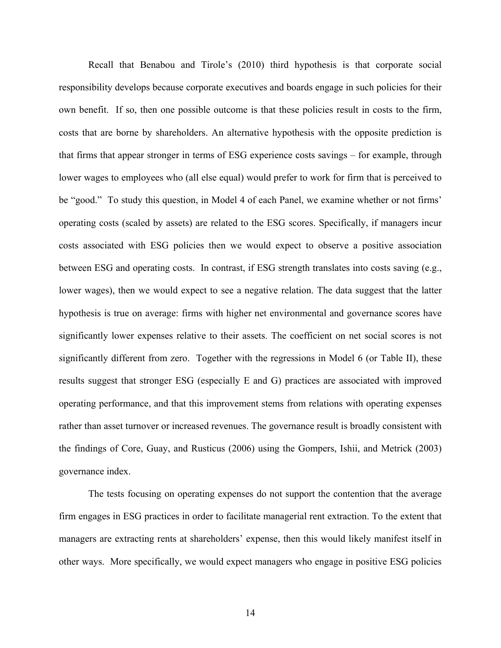Recall that Benabou and Tirole's (2010) third hypothesis is that corporate social responsibility develops because corporate executives and boards engage in such policies for their own benefit. If so, then one possible outcome is that these policies result in costs to the firm, costs that are borne by shareholders. An alternative hypothesis with the opposite prediction is that firms that appear stronger in terms of ESG experience costs savings – for example, through lower wages to employees who (all else equal) would prefer to work for firm that is perceived to be "good." To study this question, in Model 4 of each Panel, we examine whether or not firms' operating costs (scaled by assets) are related to the ESG scores. Specifically, if managers incur costs associated with ESG policies then we would expect to observe a positive association between ESG and operating costs. In contrast, if ESG strength translates into costs saving (e.g., lower wages), then we would expect to see a negative relation. The data suggest that the latter hypothesis is true on average: firms with higher net environmental and governance scores have significantly lower expenses relative to their assets. The coefficient on net social scores is not significantly different from zero. Together with the regressions in Model 6 (or Table II), these results suggest that stronger ESG (especially E and G) practices are associated with improved operating performance, and that this improvement stems from relations with operating expenses rather than asset turnover or increased revenues. The governance result is broadly consistent with the findings of Core, Guay, and Rusticus (2006) using the Gompers, Ishii, and Metrick (2003) governance index.

The tests focusing on operating expenses do not support the contention that the average firm engages in ESG practices in order to facilitate managerial rent extraction. To the extent that managers are extracting rents at shareholders' expense, then this would likely manifest itself in other ways. More specifically, we would expect managers who engage in positive ESG policies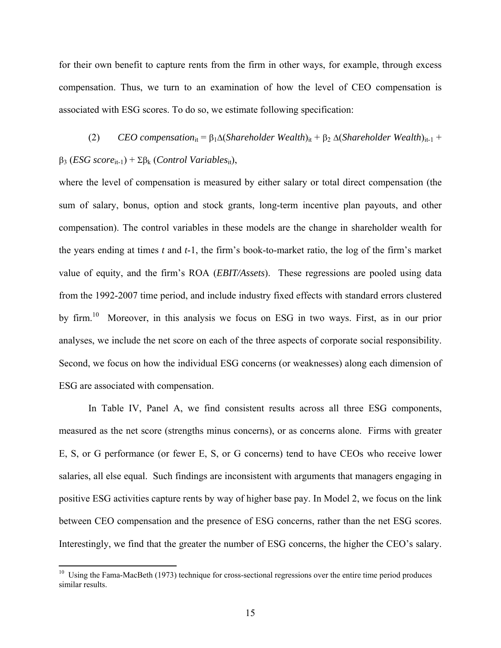for their own benefit to capture rents from the firm in other ways, for example, through excess compensation. Thus, we turn to an examination of how the level of CEO compensation is associated with ESG scores. To do so, we estimate following specification:

(2) *CEO compensation*<sub>it</sub> =  $\beta_1 \Delta (Shareholder\text{ Wealth})_{it} + \beta_2 \Delta (Shareholder\text{ Wealth})_{it-1}$  +  $\beta_3$  (*ESG score*<sub>it-1</sub>) +  $\Sigma \beta_k$  (*Control Variables*<sub>it</sub>),

where the level of compensation is measured by either salary or total direct compensation (the sum of salary, bonus, option and stock grants, long-term incentive plan payouts, and other compensation). The control variables in these models are the change in shareholder wealth for the years ending at times *t* and *t*-1, the firm's book-to-market ratio, the log of the firm's market value of equity, and the firm's ROA (*EBIT/Assets*). These regressions are pooled using data from the 1992-2007 time period, and include industry fixed effects with standard errors clustered by firm.10 Moreover, in this analysis we focus on ESG in two ways. First, as in our prior analyses, we include the net score on each of the three aspects of corporate social responsibility. Second, we focus on how the individual ESG concerns (or weaknesses) along each dimension of ESG are associated with compensation.

In Table IV, Panel A, we find consistent results across all three ESG components, measured as the net score (strengths minus concerns), or as concerns alone. Firms with greater E, S, or G performance (or fewer E, S, or G concerns) tend to have CEOs who receive lower salaries, all else equal. Such findings are inconsistent with arguments that managers engaging in positive ESG activities capture rents by way of higher base pay. In Model 2, we focus on the link between CEO compensation and the presence of ESG concerns, rather than the net ESG scores. Interestingly, we find that the greater the number of ESG concerns, the higher the CEO's salary.

<sup>&</sup>lt;sup>10</sup> Using the Fama-MacBeth (1973) technique for cross-sectional regressions over the entire time period produces similar results.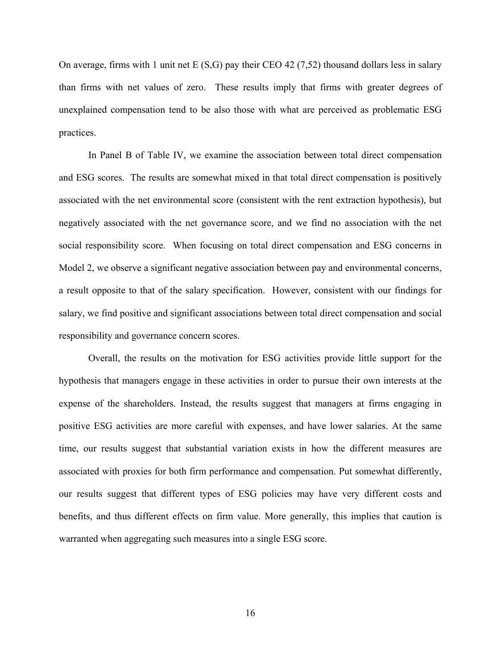On average, firms with 1 unit net  $E(S, G)$  pay their CEO 42 (7,52) thousand dollars less in salary than firms with net values of zero. These results imply that firms with greater degrees of unexplained compensation tend to be also those with what are perceived as problematic ESG practices.

In Panel B of Table IV, we examine the association between total direct compensation and ESG scores. The results are somewhat mixed in that total direct compensation is positively associated with the net environmental score (consistent with the rent extraction hypothesis), but negatively associated with the net governance score, and we find no association with the net social responsibility score. When focusing on total direct compensation and ESG concerns in Model 2, we observe a significant negative association between pay and environmental concerns, a result opposite to that of the salary specification. However, consistent with our findings for salary, we find positive and significant associations between total direct compensation and social responsibility and governance concern scores.

Overall, the results on the motivation for ESG activities provide little support for the hypothesis that managers engage in these activities in order to pursue their own interests at the expense of the shareholders. Instead, the results suggest that managers at firms engaging in positive ESG activities are more careful with expenses, and have lower salaries. At the same time, our results suggest that substantial variation exists in how the different measures are associated with proxies for both firm performance and compensation. Put somewhat differently, our results suggest that different types of ESG policies may have very different costs and benefits, and thus different effects on firm value. More generally, this implies that caution is warranted when aggregating such measures into a single ESG score.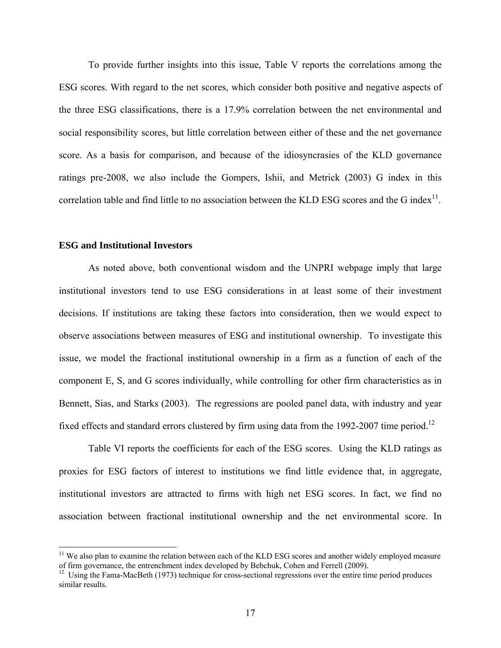To provide further insights into this issue, Table V reports the correlations among the ESG scores. With regard to the net scores, which consider both positive and negative aspects of the three ESG classifications, there is a 17.9% correlation between the net environmental and social responsibility scores, but little correlation between either of these and the net governance score. As a basis for comparison, and because of the idiosyncrasies of the KLD governance ratings pre-2008, we also include the Gompers, Ishii, and Metrick (2003) G index in this correlation table and find little to no association between the KLD ESG scores and the G index<sup>11</sup>.

#### **ESG and Institutional Investors**

As noted above, both conventional wisdom and the UNPRI webpage imply that large institutional investors tend to use ESG considerations in at least some of their investment decisions. If institutions are taking these factors into consideration, then we would expect to observe associations between measures of ESG and institutional ownership. To investigate this issue, we model the fractional institutional ownership in a firm as a function of each of the component E, S, and G scores individually, while controlling for other firm characteristics as in Bennett, Sias, and Starks (2003). The regressions are pooled panel data, with industry and year fixed effects and standard errors clustered by firm using data from the 1992-2007 time period.<sup>12</sup>

Table VI reports the coefficients for each of the ESG scores. Using the KLD ratings as proxies for ESG factors of interest to institutions we find little evidence that, in aggregate, institutional investors are attracted to firms with high net ESG scores. In fact, we find no association between fractional institutional ownership and the net environmental score. In

<sup>&</sup>lt;sup>11</sup> We also plan to examine the relation between each of the KLD ESG scores and another widely employed measure of firm governance, the entrenchment index developed by Bebchuk, Cohen and Ferrell (2009).

<sup>&</sup>lt;sup>12</sup> Using the Fama-MacBeth (1973) technique for cross-sectional regressions over the entire time period produces similar results.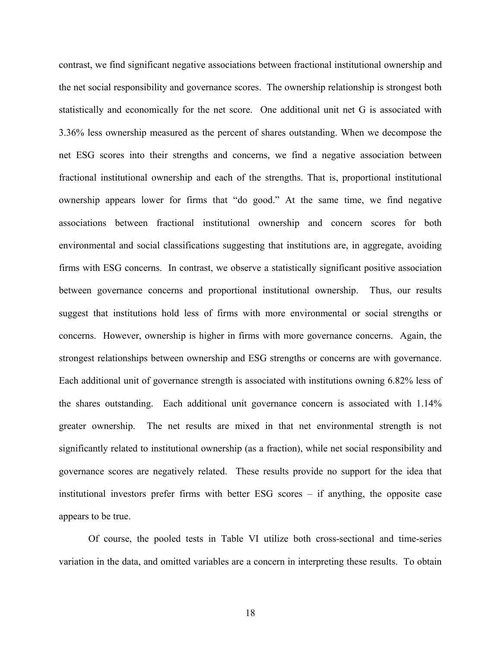contrast, we find significant negative associations between fractional institutional ownership and the net social responsibility and governance scores. The ownership relationship is strongest both statistically and economically for the net score. One additional unit net G is associated with 3.36% less ownership measured as the percent of shares outstanding. When we decompose the net ESG scores into their strengths and concerns, we find a negative association between fractional institutional ownership and each of the strengths. That is, proportional institutional ownership appears lower for firms that "do good." At the same time, we find negative associations between fractional institutional ownership and concern scores for both environmental and social classifications suggesting that institutions are, in aggregate, avoiding firms with ESG concerns. In contrast, we observe a statistically significant positive association between governance concerns and proportional institutional ownership. Thus, our results suggest that institutions hold less of firms with more environmental or social strengths or concerns. However, ownership is higher in firms with more governance concerns. Again, the strongest relationships between ownership and ESG strengths or concerns are with governance. Each additional unit of governance strength is associated with institutions owning 6.82% less of the shares outstanding. Each additional unit governance concern is associated with 1.14% greater ownership. The net results are mixed in that net environmental strength is not significantly related to institutional ownership (as a fraction), while net social responsibility and governance scores are negatively related. These results provide no support for the idea that institutional investors prefer firms with better ESG scores – if anything, the opposite case appears to be true.

Of course, the pooled tests in Table VI utilize both cross-sectional and time-series variation in the data, and omitted variables are a concern in interpreting these results. To obtain

18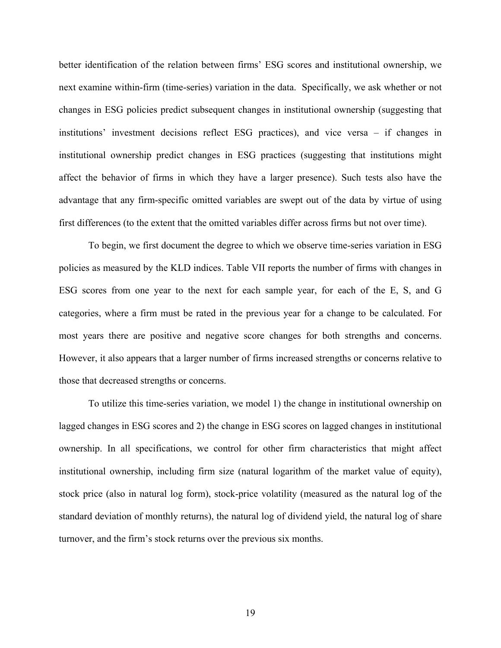better identification of the relation between firms' ESG scores and institutional ownership, we next examine within-firm (time-series) variation in the data. Specifically, we ask whether or not changes in ESG policies predict subsequent changes in institutional ownership (suggesting that institutions' investment decisions reflect ESG practices), and vice versa – if changes in institutional ownership predict changes in ESG practices (suggesting that institutions might affect the behavior of firms in which they have a larger presence). Such tests also have the advantage that any firm-specific omitted variables are swept out of the data by virtue of using first differences (to the extent that the omitted variables differ across firms but not over time).

To begin, we first document the degree to which we observe time-series variation in ESG policies as measured by the KLD indices. Table VII reports the number of firms with changes in ESG scores from one year to the next for each sample year, for each of the E, S, and G categories, where a firm must be rated in the previous year for a change to be calculated. For most years there are positive and negative score changes for both strengths and concerns. However, it also appears that a larger number of firms increased strengths or concerns relative to those that decreased strengths or concerns.

To utilize this time-series variation, we model 1) the change in institutional ownership on lagged changes in ESG scores and 2) the change in ESG scores on lagged changes in institutional ownership. In all specifications, we control for other firm characteristics that might affect institutional ownership, including firm size (natural logarithm of the market value of equity), stock price (also in natural log form), stock-price volatility (measured as the natural log of the standard deviation of monthly returns), the natural log of dividend yield, the natural log of share turnover, and the firm's stock returns over the previous six months.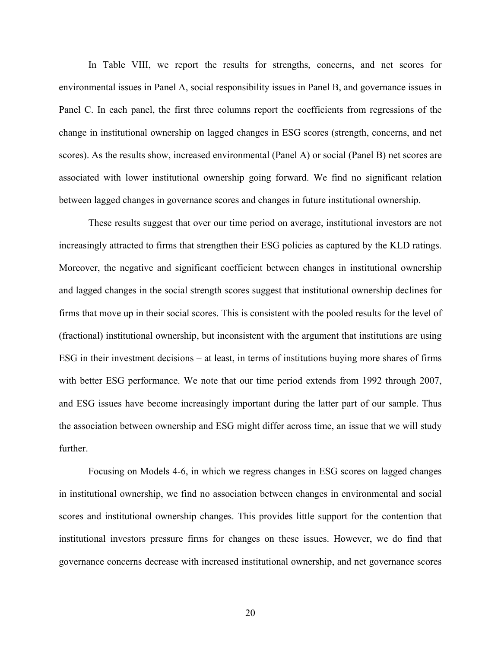In Table VIII, we report the results for strengths, concerns, and net scores for environmental issues in Panel A, social responsibility issues in Panel B, and governance issues in Panel C. In each panel, the first three columns report the coefficients from regressions of the change in institutional ownership on lagged changes in ESG scores (strength, concerns, and net scores). As the results show, increased environmental (Panel A) or social (Panel B) net scores are associated with lower institutional ownership going forward. We find no significant relation between lagged changes in governance scores and changes in future institutional ownership.

These results suggest that over our time period on average, institutional investors are not increasingly attracted to firms that strengthen their ESG policies as captured by the KLD ratings. Moreover, the negative and significant coefficient between changes in institutional ownership and lagged changes in the social strength scores suggest that institutional ownership declines for firms that move up in their social scores. This is consistent with the pooled results for the level of (fractional) institutional ownership, but inconsistent with the argument that institutions are using ESG in their investment decisions – at least, in terms of institutions buying more shares of firms with better ESG performance. We note that our time period extends from 1992 through 2007, and ESG issues have become increasingly important during the latter part of our sample. Thus the association between ownership and ESG might differ across time, an issue that we will study further.

Focusing on Models 4-6, in which we regress changes in ESG scores on lagged changes in institutional ownership, we find no association between changes in environmental and social scores and institutional ownership changes. This provides little support for the contention that institutional investors pressure firms for changes on these issues. However, we do find that governance concerns decrease with increased institutional ownership, and net governance scores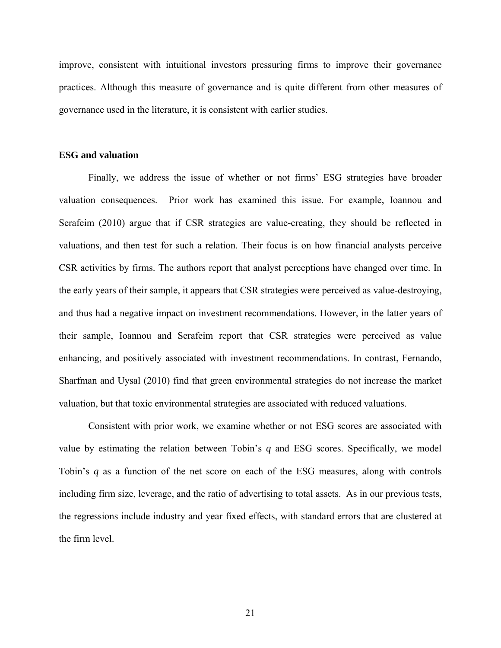improve, consistent with intuitional investors pressuring firms to improve their governance practices. Although this measure of governance and is quite different from other measures of governance used in the literature, it is consistent with earlier studies.

#### **ESG and valuation**

Finally, we address the issue of whether or not firms' ESG strategies have broader valuation consequences. Prior work has examined this issue. For example, Ioannou and Serafeim (2010) argue that if CSR strategies are value-creating, they should be reflected in valuations, and then test for such a relation. Their focus is on how financial analysts perceive CSR activities by firms. The authors report that analyst perceptions have changed over time. In the early years of their sample, it appears that CSR strategies were perceived as value-destroying, and thus had a negative impact on investment recommendations. However, in the latter years of their sample, Ioannou and Serafeim report that CSR strategies were perceived as value enhancing, and positively associated with investment recommendations. In contrast, Fernando, Sharfman and Uysal (2010) find that green environmental strategies do not increase the market valuation, but that toxic environmental strategies are associated with reduced valuations.

Consistent with prior work, we examine whether or not ESG scores are associated with value by estimating the relation between Tobin's *q* and ESG scores. Specifically, we model Tobin's *q* as a function of the net score on each of the ESG measures, along with controls including firm size, leverage, and the ratio of advertising to total assets. As in our previous tests, the regressions include industry and year fixed effects, with standard errors that are clustered at the firm level.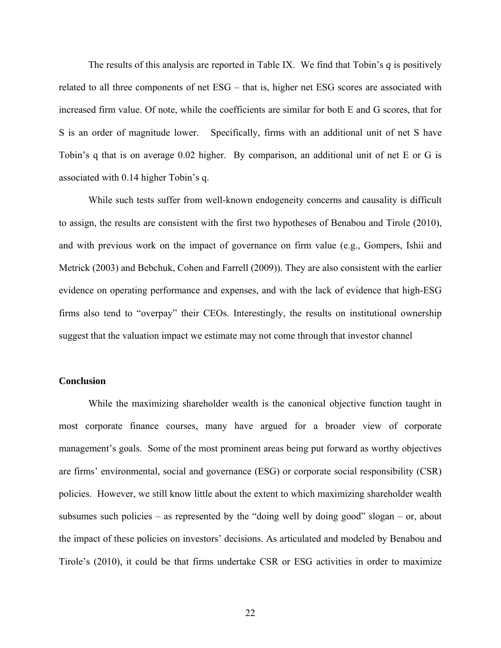The results of this analysis are reported in Table IX. We find that Tobin's *q* is positively related to all three components of net ESG – that is, higher net ESG scores are associated with increased firm value. Of note, while the coefficients are similar for both E and G scores, that for S is an order of magnitude lower. Specifically, firms with an additional unit of net S have Tobin's q that is on average 0.02 higher. By comparison, an additional unit of net E or G is associated with 0.14 higher Tobin's q.

While such tests suffer from well-known endogeneity concerns and causality is difficult to assign, the results are consistent with the first two hypotheses of Benabou and Tirole (2010), and with previous work on the impact of governance on firm value (e.g., Gompers, Ishii and Metrick (2003) and Bebchuk, Cohen and Farrell (2009)). They are also consistent with the earlier evidence on operating performance and expenses, and with the lack of evidence that high-ESG firms also tend to "overpay" their CEOs. Interestingly, the results on institutional ownership suggest that the valuation impact we estimate may not come through that investor channel

#### **Conclusion**

While the maximizing shareholder wealth is the canonical objective function taught in most corporate finance courses, many have argued for a broader view of corporate management's goals. Some of the most prominent areas being put forward as worthy objectives are firms' environmental, social and governance (ESG) or corporate social responsibility (CSR) policies. However, we still know little about the extent to which maximizing shareholder wealth subsumes such policies – as represented by the "doing well by doing good" slogan – or, about the impact of these policies on investors' decisions. As articulated and modeled by Benabou and Tirole's (2010), it could be that firms undertake CSR or ESG activities in order to maximize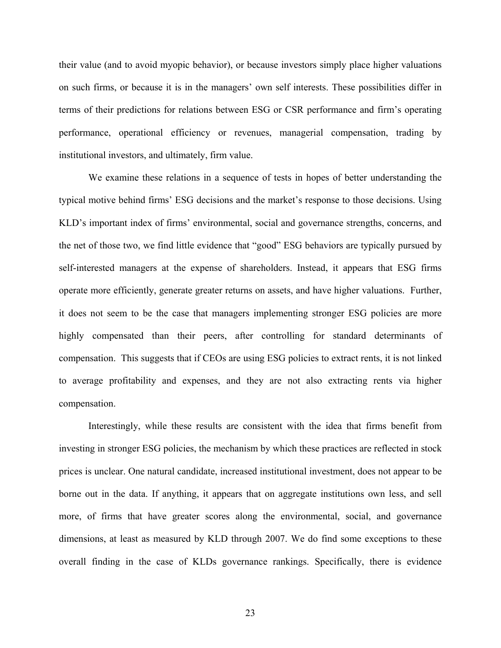their value (and to avoid myopic behavior), or because investors simply place higher valuations on such firms, or because it is in the managers' own self interests. These possibilities differ in terms of their predictions for relations between ESG or CSR performance and firm's operating performance, operational efficiency or revenues, managerial compensation, trading by institutional investors, and ultimately, firm value.

We examine these relations in a sequence of tests in hopes of better understanding the typical motive behind firms' ESG decisions and the market's response to those decisions. Using KLD's important index of firms' environmental, social and governance strengths, concerns, and the net of those two, we find little evidence that "good" ESG behaviors are typically pursued by self-interested managers at the expense of shareholders. Instead, it appears that ESG firms operate more efficiently, generate greater returns on assets, and have higher valuations. Further, it does not seem to be the case that managers implementing stronger ESG policies are more highly compensated than their peers, after controlling for standard determinants of compensation. This suggests that if CEOs are using ESG policies to extract rents, it is not linked to average profitability and expenses, and they are not also extracting rents via higher compensation.

Interestingly, while these results are consistent with the idea that firms benefit from investing in stronger ESG policies, the mechanism by which these practices are reflected in stock prices is unclear. One natural candidate, increased institutional investment, does not appear to be borne out in the data. If anything, it appears that on aggregate institutions own less, and sell more, of firms that have greater scores along the environmental, social, and governance dimensions, at least as measured by KLD through 2007. We do find some exceptions to these overall finding in the case of KLDs governance rankings. Specifically, there is evidence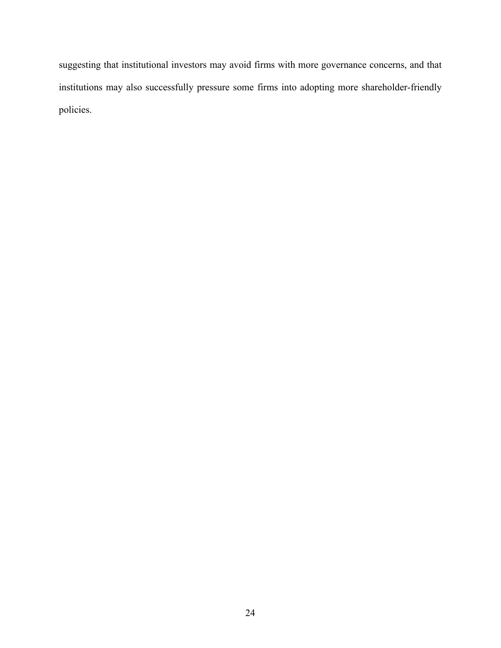suggesting that institutional investors may avoid firms with more governance concerns, and that institutions may also successfully pressure some firms into adopting more shareholder-friendly policies.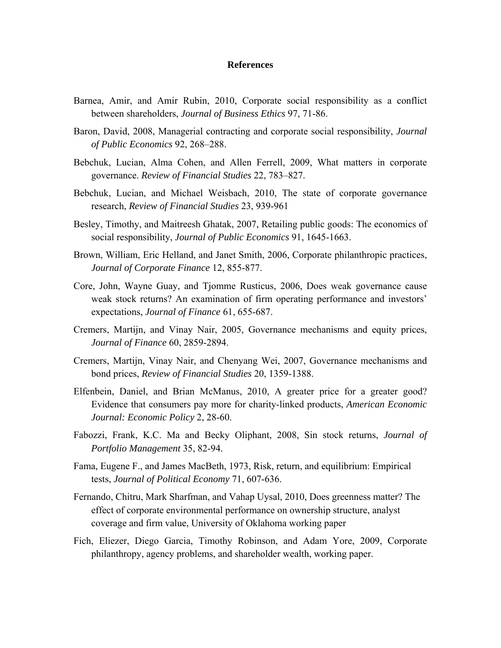#### **References**

- Barnea, Amir, and Amir Rubin, 2010, Corporate social responsibility as a conflict between shareholders, *Journal of Business Ethics* 97, 71-86.
- Baron, David, 2008, Managerial contracting and corporate social responsibility, *Journal of Public Economics* 92, 268–288.
- Bebchuk, Lucian, Alma Cohen, and Allen Ferrell, 2009, What matters in corporate governance. *Review of Financial Studies* 22, 783–827.
- Bebchuk, Lucian, and Michael Weisbach, 2010, The state of corporate governance research, *Review of Financial Studies* 23, 939-961
- Besley, Timothy, and Maitreesh Ghatak, 2007, Retailing public goods: The economics of social responsibility, *Journal of Public Economics* 91, 1645-1663.
- Brown, William, Eric Helland, and Janet Smith, 2006, Corporate philanthropic practices, *Journal of Corporate Finance* 12, 855-877.
- Core, John, Wayne Guay, and Tjomme Rusticus, 2006, Does weak governance cause weak stock returns? An examination of firm operating performance and investors' expectations, *Journal of Finance* 61, 655-687.
- Cremers, Martijn, and Vinay Nair, 2005, Governance mechanisms and equity prices, *Journal of Finance* 60, 2859-2894.
- Cremers, Martijn, Vinay Nair, and Chenyang Wei, 2007, Governance mechanisms and bond prices, *Review of Financial Studies* 20, 1359-1388.
- Elfenbein, Daniel, and Brian McManus, 2010, A greater price for a greater good? Evidence that consumers pay more for charity-linked products, *American Economic Journal: Economic Policy* 2, 28-60.
- Fabozzi, Frank, K.C. Ma and Becky Oliphant, 2008, Sin stock returns, *Journal of Portfolio Management* 35, 82-94.
- Fama, Eugene F., and James MacBeth, 1973, Risk, return, and equilibrium: Empirical tests, *Journal of Political Economy* 71, 607-636.
- Fernando, Chitru, Mark Sharfman, and Vahap Uysal, 2010, Does greenness matter? The effect of corporate environmental performance on ownership structure, analyst coverage and firm value, University of Oklahoma working paper
- Fich, Eliezer, Diego Garcia, Timothy Robinson, and Adam Yore, 2009, Corporate philanthropy, agency problems, and shareholder wealth, working paper.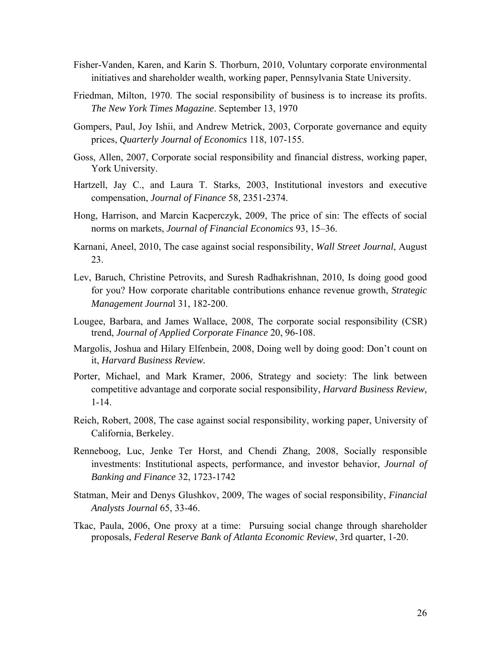- Fisher-Vanden, Karen, and Karin S. Thorburn, 2010, Voluntary corporate environmental initiatives and shareholder wealth, working paper, Pennsylvania State University.
- Friedman, Milton, 1970. The social responsibility of business is to increase its profits. *The New York Times Magazine*. September 13, 1970
- Gompers, Paul, Joy Ishii, and Andrew Metrick, 2003, Corporate governance and equity prices, *Quarterly Journal of Economics* 118, 107-155.
- Goss, Allen, 2007, Corporate social responsibility and financial distress, working paper, York University.
- Hartzell, Jay C., and Laura T. Starks, 2003, Institutional investors and executive compensation, *Journal of Finance* 58*,* 2351-2374.
- Hong, Harrison, and Marcin Kacperczyk, 2009, The price of sin: The effects of social norms on markets, *Journal of Financial Economics* 93, 15–36.
- Karnani, Aneel, 2010, The case against social responsibility, *Wall Street Journal*, August 23.
- Lev, Baruch, Christine Petrovits, and Suresh Radhakrishnan, 2010, Is doing good good for you? How corporate charitable contributions enhance revenue growth, *Strategic Management Journa*l 31, 182-200.
- Lougee, Barbara, and James Wallace, 2008, The corporate social responsibility (CSR) trend, *Journal of Applied Corporate Finance* 20, 96-108.
- Margolis, Joshua and Hilary Elfenbein, 2008, Doing well by doing good: Don't count on it, *Harvard Business Review.*
- Porter, Michael, and Mark Kramer, 2006, Strategy and society: The link between competitive advantage and corporate social responsibility, *Harvard Business Review,*  1-14.
- Reich, Robert, 2008, The case against social responsibility, working paper, University of California, Berkeley.
- Renneboog, Luc, Jenke Ter Horst, and Chendi Zhang, 2008, Socially responsible investments: Institutional aspects, performance, and investor behavior, *Journal of Banking and Finance* 32, 1723-1742
- Statman, Meir and Denys Glushkov, 2009, The wages of social responsibility, *Financial Analysts Journal* 65, 33-46.
- Tkac, Paula, 2006, One proxy at a time: Pursuing social change through shareholder proposals, *Federal Reserve Bank of Atlanta Economic Review*, 3rd quarter, 1-20.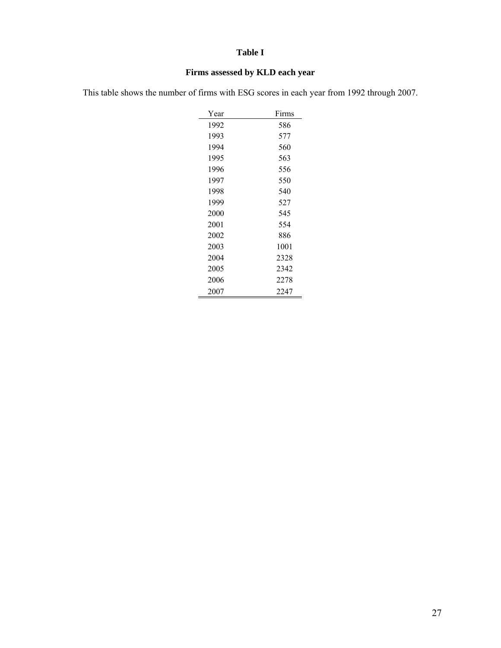# **Table I**

# **Firms assessed by KLD each year**

This table shows the number of firms with ESG scores in each year from 1992 through 2007.

| Year | Firms |
|------|-------|
| 1992 | 586   |
| 1993 | 577   |
| 1994 | 560   |
| 1995 | 563   |
| 1996 | 556   |
| 1997 | 550   |
| 1998 | 540   |
| 1999 | 527   |
| 2000 | 545   |
| 2001 | 554   |
| 2002 | 886   |
| 2003 | 1001  |
| 2004 | 2328  |
| 2005 | 2342  |
| 2006 | 2278  |
| 2007 | 2247  |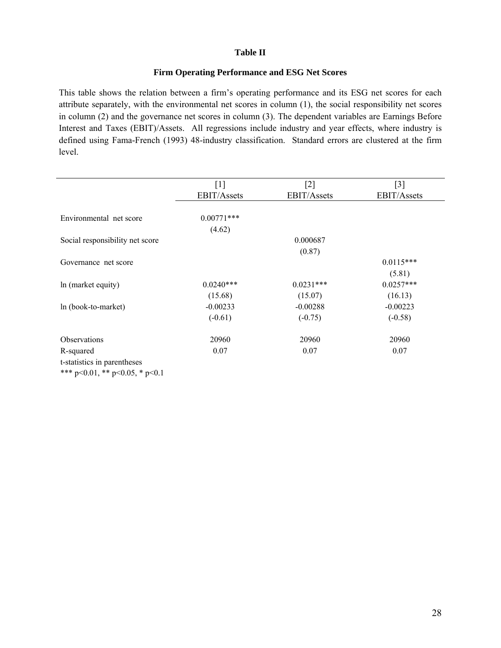#### **Table II**

#### **Firm Operating Performance and ESG Net Scores**

This table shows the relation between a firm's operating performance and its ESG net scores for each attribute separately, with the environmental net scores in column (1), the social responsibility net scores in column (2) and the governance net scores in column (3). The dependent variables are Earnings Before Interest and Taxes (EBIT)/Assets. All regressions include industry and year effects, where industry is defined using Fama-French (1993) 48-industry classification. Standard errors are clustered at the firm level.

|                                        | $\lceil 1 \rceil$ | $[2]$       | $[3]$       |
|----------------------------------------|-------------------|-------------|-------------|
|                                        | EBIT/Assets       | EBIT/Assets | EBIT/Assets |
|                                        |                   |             |             |
| Environmental net score                | $0.00771***$      |             |             |
|                                        | (4.62)            |             |             |
| Social responsibility net score        |                   | 0.000687    |             |
|                                        |                   | (0.87)      |             |
| Governance net score                   |                   |             | $0.0115***$ |
|                                        |                   |             | (5.81)      |
| In (market equity)                     | $0.0240***$       | $0.0231***$ | $0.0257***$ |
|                                        | (15.68)           | (15.07)     | (16.13)     |
| ln (book-to-market)                    | $-0.00233$        | $-0.00288$  | $-0.00223$  |
|                                        | $(-0.61)$         | $(-0.75)$   | $(-0.58)$   |
| Observations                           | 20960             | 20960       | 20960       |
| R-squared                              | 0.07              | 0.07        | 0.07        |
| t-statistics in parentheses            |                   |             |             |
| *** $p<0.01$ , ** $p<0.05$ , * $p<0.1$ |                   |             |             |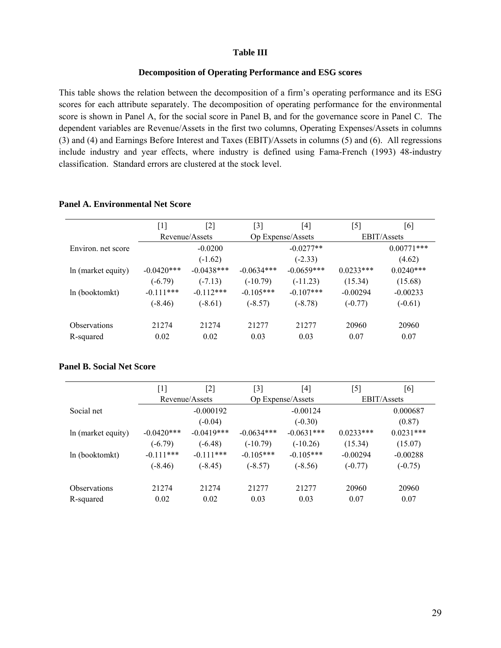#### **Table III**

#### **Decomposition of Operating Performance and ESG scores**

This table shows the relation between the decomposition of a firm's operating performance and its ESG scores for each attribute separately. The decomposition of operating performance for the environmental score is shown in Panel A, for the social score in Panel B, and for the governance score in Panel C. The dependent variables are Revenue/Assets in the first two columns, Operating Expenses/Assets in columns (3) and (4) and Earnings Before Interest and Taxes (EBIT)/Assets in columns (5) and (6). All regressions include industry and year effects, where industry is defined using Fama-French (1993) 48-industry classification. Standard errors are clustered at the stock level.

**Panel A. Environmental Net Score** 

|                            | [1]           | [2]            | $[3]$        | $\left[4\right]$  | [5]         | [6]                |  |  |
|----------------------------|---------------|----------------|--------------|-------------------|-------------|--------------------|--|--|
|                            |               | Revenue/Assets |              | Op Expense/Assets |             | <b>EBIT/Assets</b> |  |  |
| Environ, net score         |               | $-0.0200$      |              | $-0.0277**$       |             | $0.00771$ ***      |  |  |
|                            |               | $(-1.62)$      |              | $(-2.33)$         |             | (4.62)             |  |  |
| In (market equity)         | $-0.0420$ *** | $-0.0438***$   | $-0.0634***$ | $-0.0659***$      | $0.0233***$ | $0.0240***$        |  |  |
|                            | $(-6.79)$     | $(-7.13)$      | $(-10.79)$   | $(-11.23)$        | (15.34)     | (15.68)            |  |  |
| ln (booktomkt)             | $-0.111***$   | $-0.112***$    | $-0.105***$  | $-0.107***$       | $-0.00294$  | $-0.00233$         |  |  |
|                            | $(-8.46)$     | $(-8.61)$      | $(-8.57)$    | $(-8.78)$         | $(-0.77)$   | $(-0.61)$          |  |  |
| <i><b>Observations</b></i> | 21274         | 21274          | 21277        | 21277             | 20960       | 20960              |  |  |
| R-squared                  | 0.02          | 0.02           | 0.03         | 0.03              | 0.07        | 0.07               |  |  |

### **Panel B. Social Net Score**

|                     | $[1]$<br>[2] |                | $[3]$        | [4]               | [5]                | [6]         |  |
|---------------------|--------------|----------------|--------------|-------------------|--------------------|-------------|--|
|                     |              | Revenue/Assets |              | Op Expense/Assets | <b>EBIT/Assets</b> |             |  |
| Social net          |              | $-0.000192$    |              | $-0.00124$        |                    | 0.000687    |  |
|                     |              | $(-0.04)$      |              | $(-0.30)$         |                    | (0.87)      |  |
| In (market equity)  | $-0.0420***$ | $-0.0419***$   | $-0.0634***$ | $-0.0631***$      | $0.0233***$        | $0.0231***$ |  |
|                     | $(-6.79)$    | $(-6.48)$      | $(-10.79)$   | $(-10.26)$        | (15.34)            | (15.07)     |  |
| In (booktomkt)      | $-0.111***$  | $-0.111***$    | $-0.105***$  | $-0.105***$       | $-0.00294$         | $-0.00288$  |  |
|                     | $(-8.46)$    | $(-8.45)$      | $(-8.57)$    | $(-8.56)$         | $(-0.77)$          | $(-0.75)$   |  |
| <b>Observations</b> | 21274        | 21274          | 21277        | 21277             | 20960              | 20960       |  |
| R-squared           | 0.02         | 0.02           | 0.03         | 0.03              | 0.07               | 0.07        |  |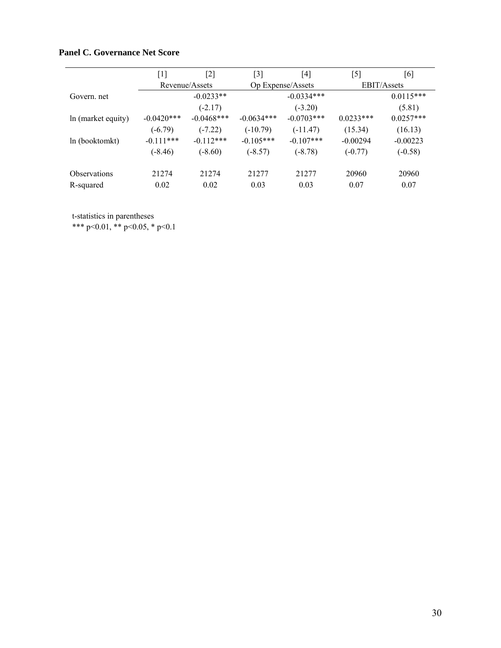# **Panel C. Governance Net Score**

|                     | $[1] % \includegraphics[width=0.9\columnwidth]{figures/fig_10.pdf} \caption{The graph $\mathcal{N}_1$ is a function of the number of~\textit{N}_1$ (left) and the number of~\textit{N}_2$ (right) are shown in \cite{N}_1$ (right) and the number of~\textit{N}_1$ (right) and the number of~\textit{N}_2$ (right).} \label{fig:1}$ | [2]            | $\lceil 3 \rceil$ | [4]               | [5]                | [6]         |  |
|---------------------|-------------------------------------------------------------------------------------------------------------------------------------------------------------------------------------------------------------------------------------------------------------------------------------------------------------------------------------|----------------|-------------------|-------------------|--------------------|-------------|--|
|                     |                                                                                                                                                                                                                                                                                                                                     | Revenue/Assets |                   | Op Expense/Assets | <b>EBIT/Assets</b> |             |  |
| Govern, net         |                                                                                                                                                                                                                                                                                                                                     | $-0.0233**$    |                   | $-0.0334***$      |                    | $0.0115***$ |  |
|                     |                                                                                                                                                                                                                                                                                                                                     | $(-2.17)$      |                   | $(-3.20)$         |                    | (5.81)      |  |
| In (market equity)  | $-0.0420***$                                                                                                                                                                                                                                                                                                                        | $-0.0468$ ***  | $-0.0634***$      | $-0.0703***$      | $0.0233***$        | $0.0257***$ |  |
|                     | $(-6.79)$                                                                                                                                                                                                                                                                                                                           | $(-7.22)$      | $(-10.79)$        | $(-11.47)$        | (15.34)            | (16.13)     |  |
| ln (booktomkt)      | $-0.111***$                                                                                                                                                                                                                                                                                                                         | $-0.112***$    | $-0.105***$       | $-0.107$ ***      | $-0.00294$         | $-0.00223$  |  |
|                     | $(-8.46)$                                                                                                                                                                                                                                                                                                                           | $(-8.60)$      | $(-8.57)$         | $(-8.78)$         | $(-0.77)$          | $(-0.58)$   |  |
| <b>Observations</b> | 21274                                                                                                                                                                                                                                                                                                                               | 21274          | 21277             | 21277             | 20960              | 20960       |  |
| R-squared           | 0.02                                                                                                                                                                                                                                                                                                                                | 0.02           | 0.03              | 0.03              | 0.07               | 0.07        |  |

t-statistics in parentheses

\*\*\* p<0.01, \*\* p<0.05, \* p<0.1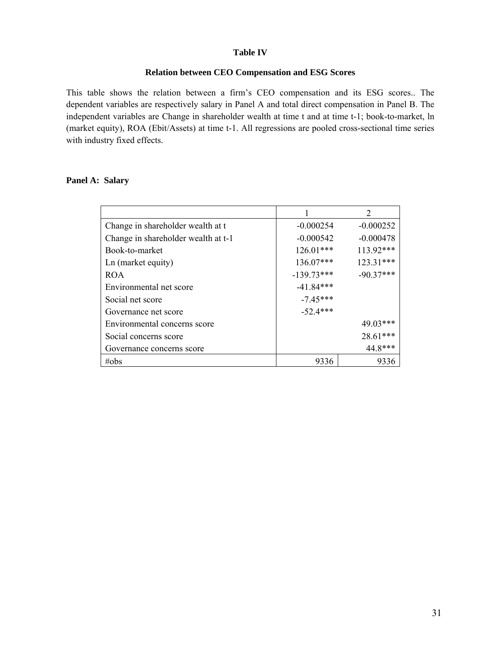#### **Table IV**

#### **Relation between CEO Compensation and ESG Scores**

This table shows the relation between a firm's CEO compensation and its ESG scores.. The dependent variables are respectively salary in Panel A and total direct compensation in Panel B. The independent variables are Change in shareholder wealth at time t and at time t-1; book-to-market, ln (market equity), ROA (Ebit/Assets) at time t-1. All regressions are pooled cross-sectional time series with industry fixed effects.

#### **Panel A: Salary**

|                                     |              | $\mathcal{D}_{\mathcal{L}}$ |
|-------------------------------------|--------------|-----------------------------|
| Change in shareholder wealth at t   | $-0.000254$  | $-0.000252$                 |
| Change in shareholder wealth at t-1 | $-0.000542$  | $-0.000478$                 |
| Book-to-market                      | $126.01***$  | 113.92***                   |
| Ln (market equity)                  | 136.07***    | 123.31***                   |
| <b>ROA</b>                          | $-139.73***$ | $-90.37***$                 |
| Environmental net score             | $-41.84***$  |                             |
| Social net score                    | $-7.45***$   |                             |
| Governance net score                | $-52.4***$   |                             |
| Environmental concerns score        |              | 49.03***                    |
| Social concerns score               |              | 28.61***                    |
| Governance concerns score           |              | 44.8***                     |
| $\#obs$                             | 9336         | 9336                        |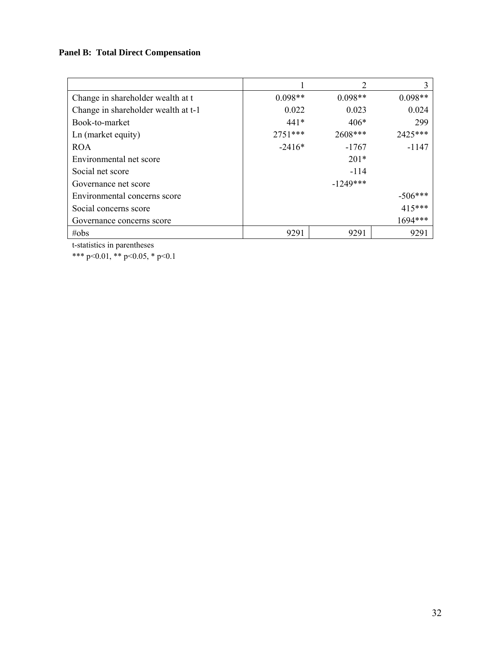# **Panel B: Total Direct Compensation**

|                                     |           | 2          | 3         |
|-------------------------------------|-----------|------------|-----------|
| Change in shareholder wealth at t   | $0.098**$ | $0.098**$  | $0.098**$ |
| Change in shareholder wealth at t-1 | 0.022     | 0.023      | 0.024     |
| Book-to-market                      | $441*$    | $406*$     | 299       |
| Ln (market equity)                  | $2751***$ | 2608***    | 2425***   |
| <b>ROA</b>                          | $-2416*$  | $-1767$    | $-1147$   |
| Environmental net score             |           | $201*$     |           |
| Social net score                    |           | $-114$     |           |
| Governance net score                |           | $-1249***$ |           |
| Environmental concerns score        |           |            | $-506***$ |
| Social concerns score               |           |            | $415***$  |
| Governance concerns score           |           |            | 1694 ***  |
| $\#obs$                             | 9291      | 9291       | 9291      |

t-statistics in parentheses

\*\*\* p<0.01, \*\* p<0.05, \* p<0.1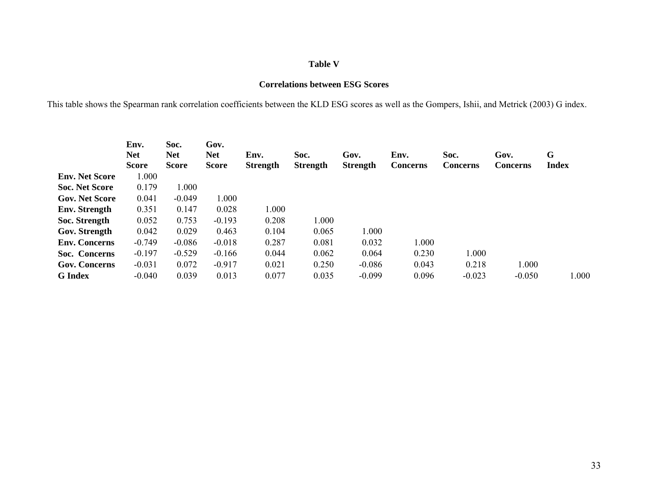#### **Table V**

#### **Correlations between ESG Scores**

This table shows the Spearman rank correlation coefficients between the KLD ESG scores as well as the Gompers, Ishii, and Metrick (2003) G index.

|                       | Env.<br><b>Net</b><br><b>Score</b> | Soc.<br><b>Net</b><br><b>Score</b> | Gov.<br><b>Net</b><br><b>Score</b> | Env.<br><b>Strength</b> | Soc.<br>Strength | Gov.<br><b>Strength</b> | Env.<br><b>Concerns</b> | Soc.<br><b>Concerns</b> | Gov.<br>Concerns | G<br><b>Index</b> |
|-----------------------|------------------------------------|------------------------------------|------------------------------------|-------------------------|------------------|-------------------------|-------------------------|-------------------------|------------------|-------------------|
| <b>Env. Net Score</b> | 1.000                              |                                    |                                    |                         |                  |                         |                         |                         |                  |                   |
| <b>Soc. Net Score</b> | 0.179                              | 1.000                              |                                    |                         |                  |                         |                         |                         |                  |                   |
| <b>Gov. Net Score</b> | 0.041                              | $-0.049$                           | 1.000                              |                         |                  |                         |                         |                         |                  |                   |
| <b>Env.</b> Strength  | 0.351                              | 0.147                              | 0.028                              | 1.000                   |                  |                         |                         |                         |                  |                   |
| Soc. Strength         | 0.052                              | 0.753                              | $-0.193$                           | 0.208                   | 1.000            |                         |                         |                         |                  |                   |
| Gov. Strength         | 0.042                              | 0.029                              | 0.463                              | 0.104                   | 0.065            | 1.000                   |                         |                         |                  |                   |
| <b>Env. Concerns</b>  | $-0.749$                           | $-0.086$                           | $-0.018$                           | 0.287                   | 0.081            | 0.032                   | 1.000                   |                         |                  |                   |
| Soc. Concerns         | $-0.197$                           | $-0.529$                           | $-0.166$                           | 0.044                   | 0.062            | 0.064                   | 0.230                   | 1.000                   |                  |                   |
| <b>Gov. Concerns</b>  | $-0.031$                           | 0.072                              | $-0.917$                           | 0.021                   | 0.250            | $-0.086$                | 0.043                   | 0.218                   | 1.000            |                   |
| <b>G</b> Index        | $-0.040$                           | 0.039                              | 0.013                              | 0.077                   | 0.035            | $-0.099$                | 0.096                   | $-0.023$                | $-0.050$         | 1.000             |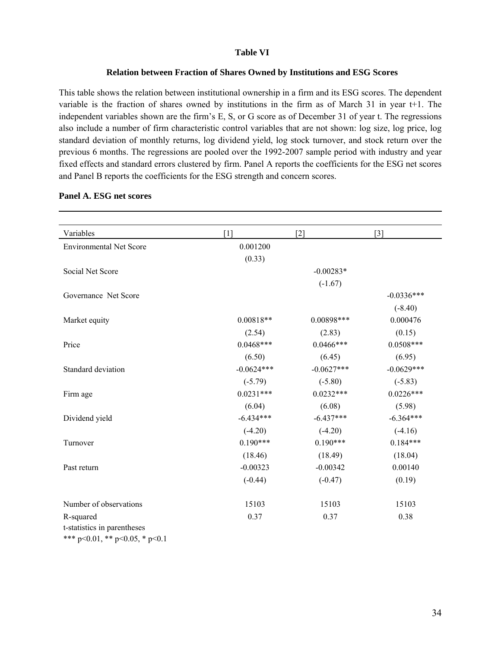#### **Table VI**

#### **Relation between Fraction of Shares Owned by Institutions and ESG Scores**

This table shows the relation between institutional ownership in a firm and its ESG scores. The dependent variable is the fraction of shares owned by institutions in the firm as of March 31 in year t+1. The independent variables shown are the firm's E, S, or G score as of December 31 of year t. The regressions also include a number of firm characteristic control variables that are not shown: log size, log price, log standard deviation of monthly returns, log dividend yield, log stock turnover, and stock return over the previous 6 months. The regressions are pooled over the 1992-2007 sample period with industry and year fixed effects and standard errors clustered by firm. Panel A reports the coefficients for the ESG net scores and Panel B reports the coefficients for the ESG strength and concern scores.

| Variables                      | $\lceil 1 \rceil$ | $[2]$        | $[3]$        |
|--------------------------------|-------------------|--------------|--------------|
|                                |                   |              |              |
| <b>Environmental Net Score</b> | 0.001200          |              |              |
|                                | (0.33)            |              |              |
| Social Net Score               |                   | $-0.00283*$  |              |
|                                |                   | $(-1.67)$    |              |
| Governance Net Score           |                   |              | $-0.0336***$ |
|                                |                   |              | $(-8.40)$    |
| Market equity                  | $0.00818**$       | $0.00898***$ | 0.000476     |
|                                | (2.54)            | (2.83)       | (0.15)       |
| Price                          | $0.0468***$       | $0.0466***$  | $0.0508***$  |
|                                | (6.50)            | (6.45)       | (6.95)       |
| Standard deviation             | $-0.0624***$      | $-0.0627***$ | $-0.0629***$ |
|                                | $(-5.79)$         | $(-5.80)$    | $(-5.83)$    |
| Firm age                       | $0.0231***$       | $0.0232***$  | $0.0226***$  |
|                                | (6.04)            | (6.08)       | (5.98)       |
| Dividend yield                 | $-6.434***$       | $-6.437***$  | $-6.364***$  |
|                                | $(-4.20)$         | $(-4.20)$    | $(-4.16)$    |
| Turnover                       | $0.190***$        | $0.190***$   | $0.184***$   |
|                                | (18.46)           | (18.49)      | (18.04)      |
| Past return                    | $-0.00323$        | $-0.00342$   | 0.00140      |
|                                | $(-0.44)$         | $(-0.47)$    | (0.19)       |
|                                |                   |              |              |
| Number of observations         | 15103             | 15103        | 15103        |
| R-squared                      | 0.37              | 0.37         | 0.38         |
| t-statistics in parentheses    |                   |              |              |
| *** p<0.01, ** p<0.05, * p<0.1 |                   |              |              |

#### **Panel A. ESG net scores**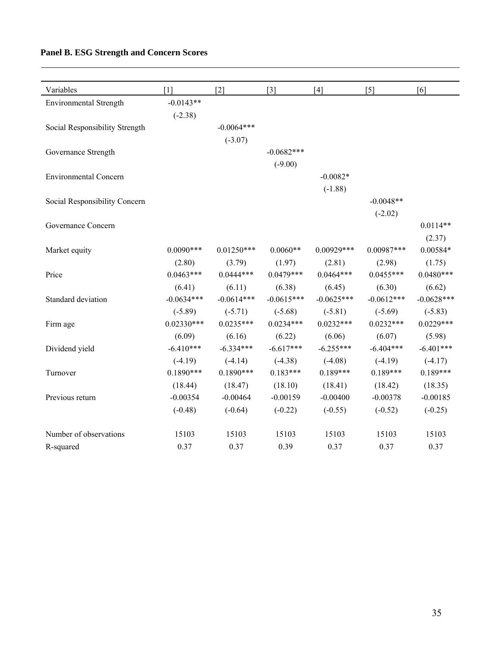# **Panel B. ESG Strength and Concern Scores**

| Variables                      | $\lceil 1 \rceil$ | $[2]$        | $\lceil 3 \rceil$ | $[4]$        | $[5]$        | [6]          |
|--------------------------------|-------------------|--------------|-------------------|--------------|--------------|--------------|
| <b>Environmental Strength</b>  | $-0.0143**$       |              |                   |              |              |              |
|                                | $(-2.38)$         |              |                   |              |              |              |
| Social Responsibility Strength |                   | $-0.0064***$ |                   |              |              |              |
|                                |                   | $(-3.07)$    |                   |              |              |              |
| Governance Strength            |                   |              | $-0.0682***$      |              |              |              |
|                                |                   |              | $(-9.00)$         |              |              |              |
| <b>Environmental Concern</b>   |                   |              |                   | $-0.0082*$   |              |              |
|                                |                   |              |                   | $(-1.88)$    |              |              |
| Social Responsibility Concern  |                   |              |                   |              | $-0.0048**$  |              |
|                                |                   |              |                   |              | $(-2.02)$    |              |
| Governance Concern             |                   |              |                   |              |              | $0.0114**$   |
|                                |                   |              |                   |              |              | (2.37)       |
| Market equity                  | $0.0090***$       | $0.01250***$ | $0.0060**$        | $0.00929***$ | $0.00987***$ | $0.00584*$   |
|                                | (2.80)            | (3.79)       | (1.97)            | (2.81)       | (2.98)       | (1.75)       |
| Price                          | $0.0463***$       | $0.0444***$  | $0.0479***$       | $0.0464***$  | $0.0455***$  | $0.0480***$  |
|                                | (6.41)            | (6.11)       | (6.38)            | (6.45)       | (6.30)       | (6.62)       |
| Standard deviation             | $-0.0634***$      | $-0.0614***$ | $-0.0615***$      | $-0.0625***$ | $-0.0612***$ | $-0.0628***$ |
|                                | $(-5.89)$         | $(-5.71)$    | $(-5.68)$         | $(-5.81)$    | $(-5.69)$    | $(-5.83)$    |
| Firm age                       | $0.02330***$      | $0.0235***$  | $0.0234***$       | $0.0232***$  | $0.0232***$  | $0.0229***$  |
|                                | (6.09)            | (6.16)       | (6.22)            | (6.06)       | (6.07)       | (5.98)       |
| Dividend yield                 | $-6.410***$       | $-6.334***$  | $-6.617***$       | $-6.255***$  | $-6.404***$  | $-6.401***$  |
|                                | $(-4.19)$         | $(-4.14)$    | $(-4.38)$         | $(-4.08)$    | $(-4.19)$    | $(-4.17)$    |
| Turnover                       | $0.1890***$       | $0.1890***$  | $0.183***$        | $0.189***$   | $0.189***$   | $0.189***$   |
|                                | (18.44)           | (18.47)      | (18.10)           | (18.41)      | (18.42)      | (18.35)      |
| Previous return                | $-0.00354$        | $-0.00464$   | $-0.00159$        | $-0.00400$   | $-0.00378$   | $-0.00185$   |
|                                | $(-0.48)$         | $(-0.64)$    | $(-0.22)$         | $(-0.55)$    | $(-0.52)$    | $(-0.25)$    |
| Number of observations         | 15103             | 15103        | 15103             | 15103        | 15103        | 15103        |
| R-squared                      | 0.37              | 0.37         | 0.39              | 0.37         | 0.37         | 0.37         |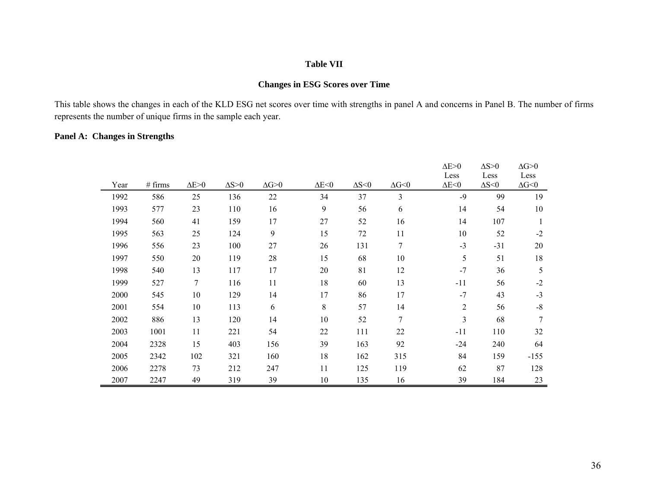#### **Table VII**

#### **Changes in ESG Scores over Time**

This table shows the changes in each of the KLD ESG net scores over time with strengths in panel A and concerns in Panel B. The number of firms represents the number of unique firms in the sample each year.

#### **Panel A: Changes in Strengths**

|      |         |                |                |                |                |                |                        | $\Delta E > 0$<br>Less | $\Delta S > 0$<br>Less | $\Delta G \mbox{>} 0$<br>Less |
|------|---------|----------------|----------------|----------------|----------------|----------------|------------------------|------------------------|------------------------|-------------------------------|
| Year | # firms | $\Delta E > 0$ | $\Delta S > 0$ | $\Delta G > 0$ | $\Delta E < 0$ | $\Delta S < 0$ | $\Delta G \!\!<\!\! 0$ | $\Delta E < 0$         | $\Delta S < 0$         | $\Delta G \!\!<\!\! 0$        |
| 1992 | 586     | 25             | 136            | $22\,$         | 34             | 37             | 3                      | $-9$                   | 99                     | 19                            |
| 1993 | 577     | 23             | 110            | 16             | 9              | 56             | 6                      | 14                     | 54                     | $10\,$                        |
| 1994 | 560     | 41             | 159            | 17             | 27             | 52             | 16                     | 14                     | 107                    | $\mathbf{1}$                  |
| 1995 | 563     | 25             | 124            | 9              | 15             | 72             | 11                     | 10                     | 52                     | $-2$                          |
| 1996 | 556     | 23             | 100            | 27             | 26             | 131            | $\tau$                 | $-3$                   | $-31$                  | 20                            |
| 1997 | 550     | 20             | 119            | 28             | 15             | 68             | 10                     | 5                      | 51                     | 18                            |
| 1998 | 540     | 13             | 117            | 17             | 20             | 81             | 12                     | $-7$                   | 36                     | 5                             |
| 1999 | 527     | 7              | 116            | 11             | 18             | 60             | 13                     | $-11$                  | 56                     | $-2$                          |
| 2000 | 545     | 10             | 129            | 14             | 17             | 86             | 17                     | $-7$                   | 43                     | $-3$                          |
| 2001 | 554     | 10             | 113            | 6              | 8              | 57             | 14                     | $\overline{2}$         | 56                     | $\mbox{-}8$                   |
| 2002 | 886     | 13             | 120            | 14             | 10             | 52             | $\overline{7}$         | 3                      | 68                     | $\tau$                        |
| 2003 | 1001    | 11             | 221            | 54             | 22             | 111            | 22                     | $-11$                  | 110                    | 32                            |
| 2004 | 2328    | 15             | 403            | 156            | 39             | 163            | 92                     | $-24$                  | 240                    | 64                            |
| 2005 | 2342    | 102            | 321            | 160            | 18             | 162            | 315                    | 84                     | 159                    | $-155$                        |
| 2006 | 2278    | 73             | 212            | 247            | 11             | 125            | 119                    | 62                     | 87                     | 128                           |
| 2007 | 2247    | 49             | 319            | 39             | 10             | 135            | 16                     | 39                     | 184                    | 23                            |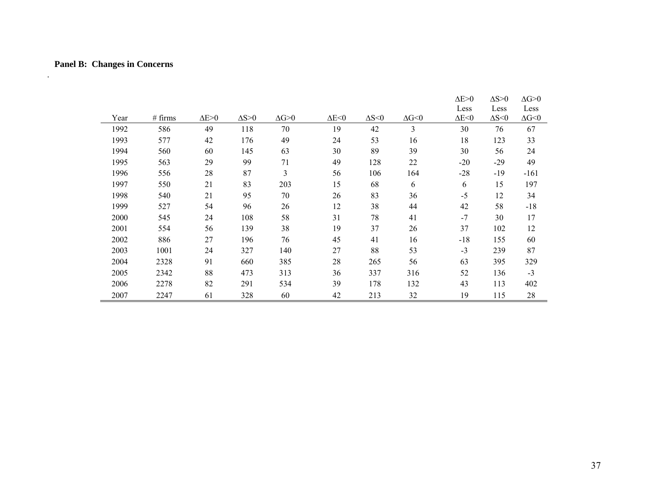# **Panel B: Changes in Concerns**

.

|      |         |                |                |                       |                |                |                        | $\Delta E > 0$ | $\Delta S > 0$ | $\Delta G > 0$    |
|------|---------|----------------|----------------|-----------------------|----------------|----------------|------------------------|----------------|----------------|-------------------|
|      |         |                |                |                       |                |                |                        | Less           | Less           | Less              |
| Year | # firms | $\Delta E > 0$ | $\Delta S > 0$ | $\Delta G \mbox{>} 0$ | $\Delta E < 0$ | $\Delta S < 0$ | $\Delta G \!\!<\!\! 0$ | $\Delta E < 0$ | $\Delta S < 0$ | $\Delta G \leq 0$ |
| 1992 | 586     | 49             | 118            | 70                    | 19             | 42             | 3                      | 30             | 76             | 67                |
| 1993 | 577     | 42             | 176            | 49                    | 24             | 53             | 16                     | 18             | 123            | 33                |
| 1994 | 560     | 60             | 145            | 63                    | 30             | 89             | 39                     | 30             | 56             | 24                |
| 1995 | 563     | 29             | 99             | 71                    | 49             | 128            | 22                     | $-20$          | $-29$          | 49                |
| 1996 | 556     | 28             | 87             | 3                     | 56             | 106            | 164                    | $-28$          | $-19$          | $-161$            |
| 1997 | 550     | 21             | 83             | 203                   | 15             | 68             | 6                      | 6              | 15             | 197               |
| 1998 | 540     | 21             | 95             | 70                    | 26             | 83             | 36                     | $-5$           | 12             | 34                |
| 1999 | 527     | 54             | 96             | 26                    | 12             | 38             | 44                     | 42             | 58             | $-18$             |
| 2000 | 545     | 24             | 108            | 58                    | 31             | 78             | 41                     | $-7$           | 30             | 17                |
| 2001 | 554     | 56             | 139            | 38                    | 19             | 37             | 26                     | 37             | 102            | 12                |
| 2002 | 886     | 27             | 196            | 76                    | 45             | 41             | 16                     | $-18$          | 155            | 60                |
| 2003 | 1001    | 24             | 327            | 140                   | 27             | 88             | 53                     | $-3$           | 239            | 87                |
| 2004 | 2328    | 91             | 660            | 385                   | 28             | 265            | 56                     | 63             | 395            | 329               |
| 2005 | 2342    | 88             | 473            | 313                   | 36             | 337            | 316                    | 52             | 136            | $-3$              |
| 2006 | 2278    | 82             | 291            | 534                   | 39             | 178            | 132                    | 43             | 113            | 402               |
| 2007 | 2247    | 61             | 328            | 60                    | 42             | 213            | 32                     | 19             | 115            | 28                |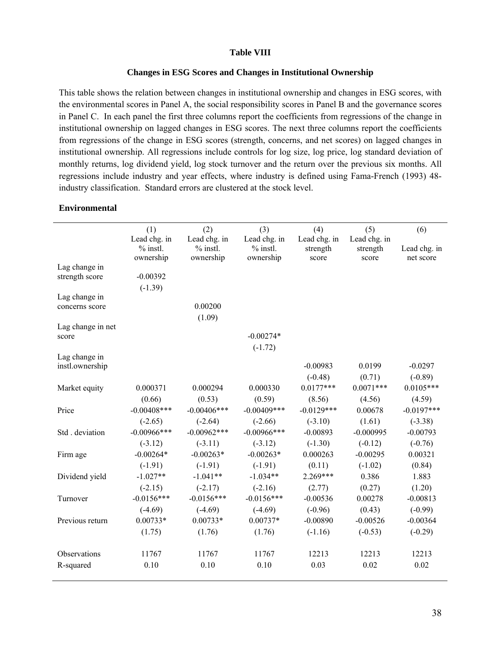#### **Table VIII**

#### **Changes in ESG Scores and Changes in Institutional Ownership**

This table shows the relation between changes in institutional ownership and changes in ESG scores, with the environmental scores in Panel A, the social responsibility scores in Panel B and the governance scores in Panel C. In each panel the first three columns report the coefficients from regressions of the change in institutional ownership on lagged changes in ESG scores. The next three columns report the coefficients from regressions of the change in ESG scores (strength, concerns, and net scores) on lagged changes in institutional ownership. All regressions include controls for log size, log price, log standard deviation of monthly returns, log dividend yield, log stock turnover and the return over the previous six months. All regressions include industry and year effects, where industry is defined using Fama-French (1993) 48 industry classification. Standard errors are clustered at the stock level.

#### **Environmental**

|                   | (1)            | (2)           | (3)            | (4)          | (5)          | (6)          |
|-------------------|----------------|---------------|----------------|--------------|--------------|--------------|
|                   | Lead chg. in   | Lead chg. in  | Lead chg. in   | Lead chg. in | Lead chg. in |              |
|                   | $%$ instl.     | $%$ instl.    | $%$ instl.     | strength     | strength     | Lead chg. in |
|                   | ownership      | ownership     | ownership      | score        | score        | net score    |
| Lag change in     | $-0.00392$     |               |                |              |              |              |
| strength score    |                |               |                |              |              |              |
| Lag change in     | $(-1.39)$      |               |                |              |              |              |
| concerns score    |                | 0.00200       |                |              |              |              |
|                   |                | (1.09)        |                |              |              |              |
| Lag change in net |                |               |                |              |              |              |
| score             |                |               | $-0.00274*$    |              |              |              |
|                   |                |               | $(-1.72)$      |              |              |              |
| Lag change in     |                |               |                |              |              |              |
| instl.ownership   |                |               |                | $-0.00983$   | 0.0199       | $-0.0297$    |
|                   |                |               |                | $(-0.48)$    | (0.71)       | $(-0.89)$    |
| Market equity     | 0.000371       | 0.000294      | 0.000330       | $0.0177***$  | $0.0071***$  | $0.0105***$  |
|                   | (0.66)         | (0.53)        | (0.59)         | (8.56)       | (4.56)       | (4.59)       |
| Price             | $-0.00408$ *** | $-0.00406***$ | $-0.00409$ *** | $-0.0129***$ | 0.00678      | $-0.0197***$ |
|                   | $(-2.65)$      | $(-2.64)$     | $(-2.66)$      | $(-3.10)$    | (1.61)       | $(-3.38)$    |
| Std. deviation    | $-0.00966$ *** | $-0.00962***$ | $-0.00966$ *** | $-0.00893$   | $-0.000995$  | $-0.00793$   |
|                   | $(-3.12)$      | $(-3.11)$     | $(-3.12)$      | $(-1.30)$    | $(-0.12)$    | $(-0.76)$    |
| Firm age          | $-0.00264*$    | $-0.00263*$   | $-0.00263*$    | 0.000263     | $-0.00295$   | 0.00321      |
|                   | $(-1.91)$      | $(-1.91)$     | $(-1.91)$      | (0.11)       | $(-1.02)$    | (0.84)       |
| Dividend yield    | $-1.027**$     | $-1.041**$    | $-1.034**$     | $2.269***$   | 0.386        | 1.883        |
|                   | $(-2.15)$      | $(-2.17)$     | $(-2.16)$      | (2.77)       | (0.27)       | (1.20)       |
| Turnover          | $-0.0156***$   | $-0.0156***$  | $-0.0156***$   | $-0.00536$   | 0.00278      | $-0.00813$   |
|                   | $(-4.69)$      | $(-4.69)$     | $(-4.69)$      | $(-0.96)$    | (0.43)       | $(-0.99)$    |
| Previous return   | $0.00733*$     | $0.00733*$    | $0.00737*$     | $-0.00890$   | $-0.00526$   | $-0.00364$   |
|                   | (1.75)         | (1.76)        | (1.76)         | $(-1.16)$    | $(-0.53)$    | $(-0.29)$    |
| Observations      | 11767          | 11767         | 11767          | 12213        | 12213        | 12213        |
| R-squared         | 0.10           | 0.10          | 0.10           | 0.03         | 0.02         | 0.02         |
|                   |                |               |                |              |              |              |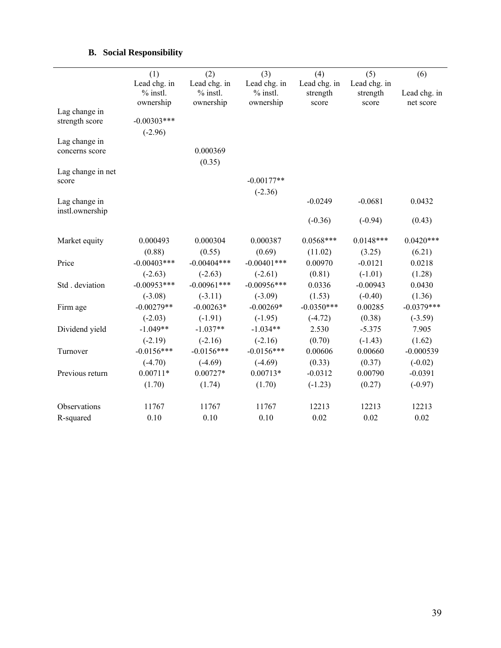# **B. Social Responsibility**

|                                 | (1)                                     | (2)                                     | (3)                                     | (4)                               | (5)                               | (6)                       |
|---------------------------------|-----------------------------------------|-----------------------------------------|-----------------------------------------|-----------------------------------|-----------------------------------|---------------------------|
|                                 | Lead chg. in<br>$%$ instl.<br>ownership | Lead chg. in<br>$%$ instl.<br>ownership | Lead chg. in<br>$%$ instl.<br>ownership | Lead chg. in<br>strength<br>score | Lead chg. in<br>strength<br>score | Lead chg. in<br>net score |
| Lag change in<br>strength score | $-0.00303$ ***<br>$(-2.96)$             |                                         |                                         |                                   |                                   |                           |
| Lag change in<br>concerns score |                                         | 0.000369<br>(0.35)                      |                                         |                                   |                                   |                           |
| Lag change in net<br>score      |                                         |                                         | $-0.00177**$<br>$(-2.36)$               |                                   |                                   |                           |
| Lag change in                   |                                         |                                         |                                         | $-0.0249$                         | $-0.0681$                         | 0.0432                    |
| instl.ownership                 |                                         |                                         |                                         | $(-0.36)$                         | $(-0.94)$                         | (0.43)                    |
| Market equity                   | 0.000493                                | 0.000304                                | 0.000387                                | $0.0568***$                       | $0.0148***$                       | $0.0420***$               |
|                                 | (0.88)                                  | (0.55)                                  | (0.69)                                  | (11.02)                           | (3.25)                            | (6.21)                    |
| Price                           | $-0.00403$ ***                          | $-0.00404***$                           | $-0.00401$ ***                          | 0.00970                           | $-0.0121$                         | 0.0218                    |
|                                 | $(-2.63)$                               | $(-2.63)$                               | $(-2.61)$                               | (0.81)                            | $(-1.01)$                         | (1.28)                    |
| Std. deviation                  | $-0.00953***$                           | $-0.00961***$                           | $-0.00956***$                           | 0.0336                            | $-0.00943$                        | 0.0430                    |
|                                 | $(-3.08)$                               | $(-3.11)$                               | $(-3.09)$                               | (1.53)                            | $(-0.40)$                         | (1.36)                    |
| Firm age                        | $-0.00279**$                            | $-0.00263*$                             | $-0.00269*$                             | $-0.0350***$                      | 0.00285                           | $-0.0379***$              |
|                                 | $(-2.03)$                               | $(-1.91)$                               | $(-1.95)$                               | $(-4.72)$                         | (0.38)                            | $(-3.59)$                 |
| Dividend yield                  | $-1.049**$                              | $-1.037**$                              | $-1.034**$                              | 2.530                             | $-5.375$                          | 7.905                     |
|                                 | $(-2.19)$                               | $(-2.16)$                               | $(-2.16)$                               | (0.70)                            | $(-1.43)$                         | (1.62)                    |
| Turnover                        | $-0.0156***$                            | $-0.0156***$                            | $-0.0156***$                            | 0.00606                           | 0.00660                           | $-0.000539$               |
|                                 | $(-4.70)$                               | $(-4.69)$                               | $(-4.69)$                               | (0.33)                            | (0.37)                            | $(-0.02)$                 |
| Previous return                 | $0.00711*$                              | $0.00727*$                              | $0.00713*$                              | $-0.0312$                         | 0.00790                           | $-0.0391$                 |
|                                 | (1.70)                                  | (1.74)                                  | (1.70)                                  | $(-1.23)$                         | (0.27)                            | $(-0.97)$                 |
| Observations                    | 11767                                   | 11767                                   | 11767                                   | 12213                             | 12213                             | 12213                     |
| R-squared                       | 0.10                                    | 0.10                                    | 0.10                                    | 0.02                              | 0.02                              | 0.02                      |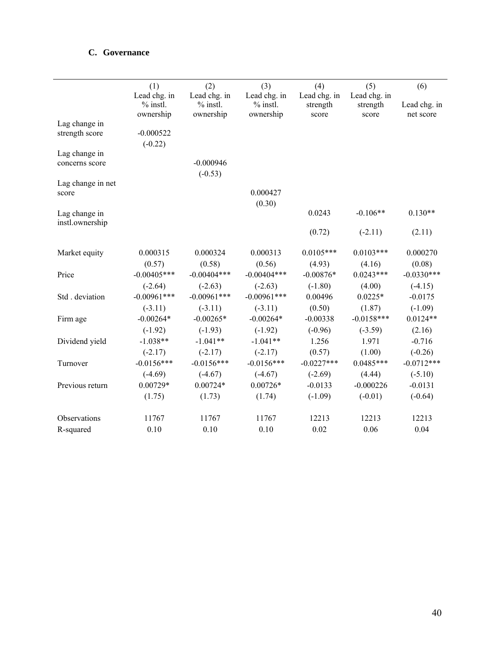# **C. Governance**

|                                  | (1)                                     | (2)                                     | (3)                                     | (4)                                 | (5)                                | (6)                                 |
|----------------------------------|-----------------------------------------|-----------------------------------------|-----------------------------------------|-------------------------------------|------------------------------------|-------------------------------------|
|                                  | Lead chg. in<br>$%$ instl.<br>ownership | Lead chg. in<br>$%$ instl.<br>ownership | Lead chg. in<br>$%$ instl.<br>ownership | Lead chg. in<br>strength<br>score   | Lead chg. in<br>strength<br>score  | Lead chg. in<br>net score           |
| Lag change in<br>strength score  | $-0.000522$<br>$(-0.22)$                |                                         |                                         |                                     |                                    |                                     |
| Lag change in<br>concerns score  |                                         | $-0.000946$<br>$(-0.53)$                |                                         |                                     |                                    |                                     |
| Lag change in net<br>score       |                                         |                                         | 0.000427<br>(0.30)                      |                                     |                                    |                                     |
| Lag change in<br>instl.ownership |                                         |                                         |                                         | 0.0243                              | $-0.106**$                         | $0.130**$                           |
|                                  |                                         |                                         |                                         | (0.72)                              | $(-2.11)$                          | (2.11)                              |
| Market equity                    | 0.000315<br>(0.57)                      | 0.000324<br>(0.58)                      | 0.000313<br>(0.56)                      | $0.0105***$                         | $0.0103***$<br>(4.16)              | 0.000270<br>(0.08)                  |
| Price                            | $-0.00405***$                           | $-0.00404***$                           | $-0.00404***$                           | (4.93)<br>$-0.00876*$               | $0.0243***$                        | $-0.0330***$                        |
| Std. deviation                   | $(-2.64)$<br>$-0.00961***$              | $(-2.63)$<br>$-0.00961***$              | $(-2.63)$<br>$-0.00961***$              | $(-1.80)$<br>0.00496                | (4.00)<br>$0.0225*$                | $(-4.15)$<br>$-0.0175$              |
| Firm age                         | $(-3.11)$<br>$-0.00264*$                | $(-3.11)$<br>$-0.00265*$                | $(-3.11)$<br>$-0.00264*$                | (0.50)<br>$-0.00338$                | (1.87)<br>$-0.0158***$             | $(-1.09)$<br>$0.0124**$             |
| Dividend yield                   | $(-1.92)$<br>$-1.038**$                 | $(-1.93)$<br>$-1.041**$                 | $(-1.92)$<br>$-1.041**$                 | $(-0.96)$<br>1.256                  | $(-3.59)$<br>1.971                 | (2.16)<br>$-0.716$                  |
| Turnover                         | $(-2.17)$<br>$-0.0156***$               | $(-2.17)$<br>$-0.0156***$               | $(-2.17)$<br>$-0.0156***$               | (0.57)<br>$-0.0227***$              | (1.00)<br>$0.0485***$              | $(-0.26)$<br>$-0.0712***$           |
| Previous return                  | $(-4.69)$<br>$0.00729*$<br>(1.75)       | $(-4.67)$<br>$0.00724*$<br>(1.73)       | $(-4.67)$<br>$0.00726*$<br>(1.74)       | $(-2.69)$<br>$-0.0133$<br>$(-1.09)$ | (4.44)<br>$-0.000226$<br>$(-0.01)$ | $(-5.10)$<br>$-0.0131$<br>$(-0.64)$ |
| Observations                     | 11767                                   | 11767                                   | 11767                                   | 12213                               | 12213                              | 12213                               |
| R-squared                        | 0.10                                    | 0.10                                    | 0.10                                    | 0.02                                | 0.06                               | 0.04                                |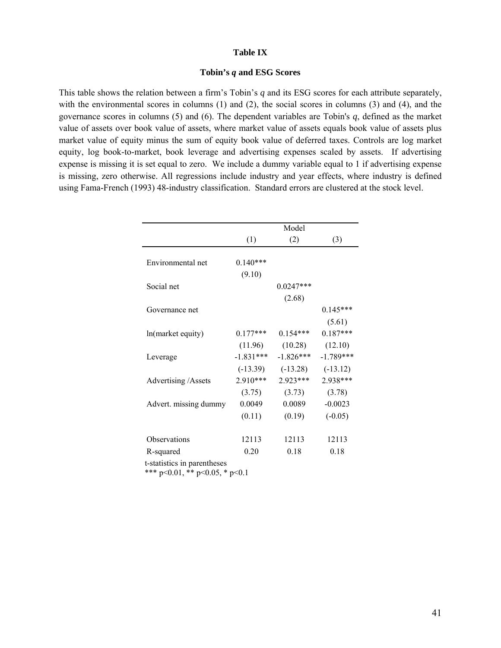#### **Table IX**

#### **Tobin's** *q* **and ESG Scores**

This table shows the relation between a firm's Tobin's *q* and its ESG scores for each attribute separately, with the environmental scores in columns (1) and (2), the social scores in columns (3) and (4), and the governance scores in columns (5) and (6). The dependent variables are Tobin's *q*, defined as the market value of assets over book value of assets, where market value of assets equals book value of assets plus market value of equity minus the sum of equity book value of deferred taxes. Controls are log market equity, log book-to-market, book leverage and advertising expenses scaled by assets. If advertising expense is missing it is set equal to zero. We include a dummy variable equal to 1 if advertising expense is missing, zero otherwise. All regressions include industry and year effects, where industry is defined using Fama-French (1993) 48-industry classification. Standard errors are clustered at the stock level.

|                                                                                                                                                                                                                           |             | Model       |             |
|---------------------------------------------------------------------------------------------------------------------------------------------------------------------------------------------------------------------------|-------------|-------------|-------------|
|                                                                                                                                                                                                                           | (1)         | (2)         | (3)         |
| Environmental net                                                                                                                                                                                                         | $0.140***$  |             |             |
|                                                                                                                                                                                                                           |             |             |             |
| (9.10)<br>Social net<br>Governance net<br>$0.177***$<br>ln(market equity)<br>(11.96)<br>$-1.831***$<br>Leverage<br>$(-13.39)$<br>$2.910***$<br>Advertising /Assets<br>(3.75)<br>Advert. missing dummy<br>0.0049<br>(0.11) | $0.0247***$ |             |             |
|                                                                                                                                                                                                                           |             | (2.68)      |             |
| 0.0089<br>(0.19)<br>Observations<br>12113<br>12113                                                                                                                                                                        |             | $0.145***$  |             |
|                                                                                                                                                                                                                           |             |             | (5.61)      |
|                                                                                                                                                                                                                           |             | $0.154***$  | $0.187***$  |
|                                                                                                                                                                                                                           |             | (10.28)     | (12.10)     |
|                                                                                                                                                                                                                           |             | $-1.826***$ | $-1.789***$ |
|                                                                                                                                                                                                                           |             | $(-13.28)$  | $(-13.12)$  |
|                                                                                                                                                                                                                           |             | $2.923***$  | 2.938***    |
|                                                                                                                                                                                                                           |             | (3.73)      | (3.78)      |
|                                                                                                                                                                                                                           |             |             | $-0.0023$   |
|                                                                                                                                                                                                                           |             |             | $(-0.05)$   |
|                                                                                                                                                                                                                           |             |             | 12113       |
| R-squared                                                                                                                                                                                                                 | 0.20        | 0.18        | 0.18        |

 $p<0.01$ , \*\*  $p<0.05$ , \*  $p<0.1$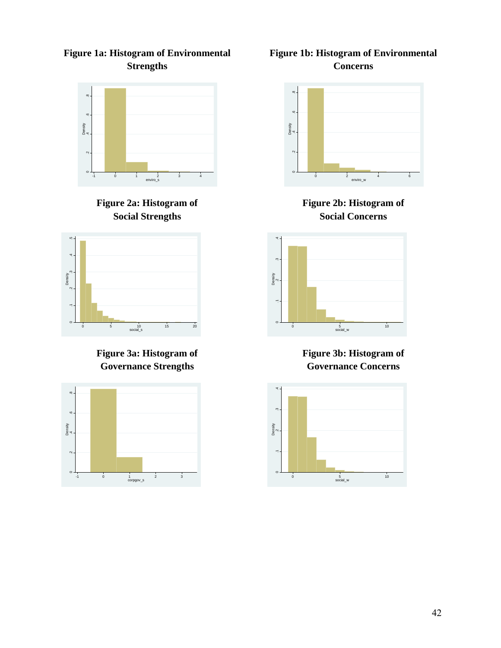**Figure 1a: Histogram of Environmental Strengths** 



**Figure 2a: Histogram of Social Strengths** 



**Figure 3a: Histogram of Governance Strengths** 



**Figure 1b: Histogram of Environmental Concerns** 



**Figure 2b: Histogram of Social Concerns** 



**Figure 3b: Histogram of Governance Concerns**